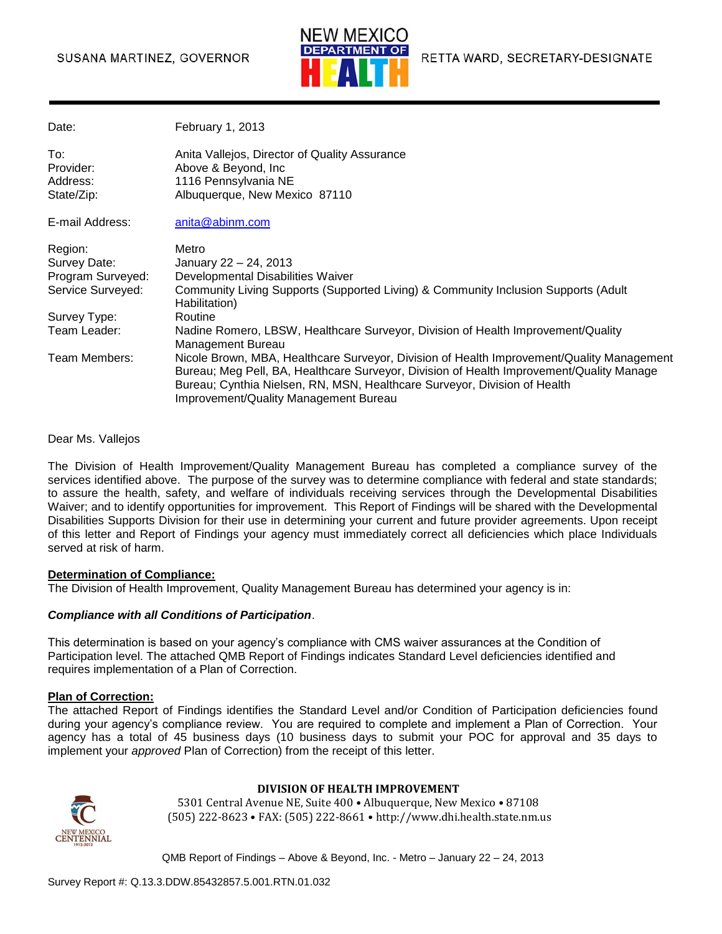#### SUSANA MARTINEZ, GOVERNOR



| Date:             | February 1, 2013                                                                                                                                                                                                                                                   |
|-------------------|--------------------------------------------------------------------------------------------------------------------------------------------------------------------------------------------------------------------------------------------------------------------|
| To:               | Anita Vallejos, Director of Quality Assurance                                                                                                                                                                                                                      |
| Provider:         | Above & Beyond, Inc.                                                                                                                                                                                                                                               |
| Address:          | 1116 Pennsylvania NE                                                                                                                                                                                                                                               |
| State/Zip:        | Albuquerque, New Mexico 87110                                                                                                                                                                                                                                      |
| E-mail Address:   | anita@abinm.com                                                                                                                                                                                                                                                    |
| Region:           | Metro                                                                                                                                                                                                                                                              |
| Survey Date:      | January 22 - 24, 2013                                                                                                                                                                                                                                              |
| Program Surveyed: | Developmental Disabilities Waiver                                                                                                                                                                                                                                  |
| Service Surveyed: | Community Living Supports (Supported Living) & Community Inclusion Supports (Adult<br>Habilitation)                                                                                                                                                                |
| Survey Type:      | Routine                                                                                                                                                                                                                                                            |
| Team Leader:      | Nadine Romero, LBSW, Healthcare Surveyor, Division of Health Improvement/Quality<br>Management Bureau                                                                                                                                                              |
| Team Members:     | Nicole Brown, MBA, Healthcare Surveyor, Division of Health Improvement/Quality Management<br>Bureau; Meg Pell, BA, Healthcare Surveyor, Division of Health Improvement/Quality Manage<br>Bureau; Cynthia Nielsen, RN, MSN, Healthcare Surveyor, Division of Health |
|                   | Improvement/Quality Management Bureau                                                                                                                                                                                                                              |

Dear Ms. Vallejos

The Division of Health Improvement/Quality Management Bureau has completed a compliance survey of the services identified above. The purpose of the survey was to determine compliance with federal and state standards; to assure the health, safety, and welfare of individuals receiving services through the Developmental Disabilities Waiver; and to identify opportunities for improvement. This Report of Findings will be shared with the Developmental Disabilities Supports Division for their use in determining your current and future provider agreements. Upon receipt of this letter and Report of Findings your agency must immediately correct all deficiencies which place Individuals served at risk of harm.

#### **Determination of Compliance:**

The Division of Health Improvement, Quality Management Bureau has determined your agency is in:

#### *Compliance with all Conditions of Participation*.

This determination is based on your agency's compliance with CMS waiver assurances at the Condition of Participation level. The attached QMB Report of Findings indicates Standard Level deficiencies identified and requires implementation of a Plan of Correction.

#### **Plan of Correction:**

The attached Report of Findings identifies the Standard Level and/or Condition of Participation deficiencies found during your agency's compliance review. You are required to complete and implement a Plan of Correction. Your agency has a total of 45 business days (10 business days to submit your POC for approval and 35 days to implement your *approved* Plan of Correction) from the receipt of this letter.



#### **DIVISION OF HEALTH IMPROVEMENT**

5301 Central Avenue NE, Suite 400 • Albuquerque, New Mexico • 87108 (505) 222-8623 • FAX: (505) 222-8661 • http://www.dhi.health.state.nm.us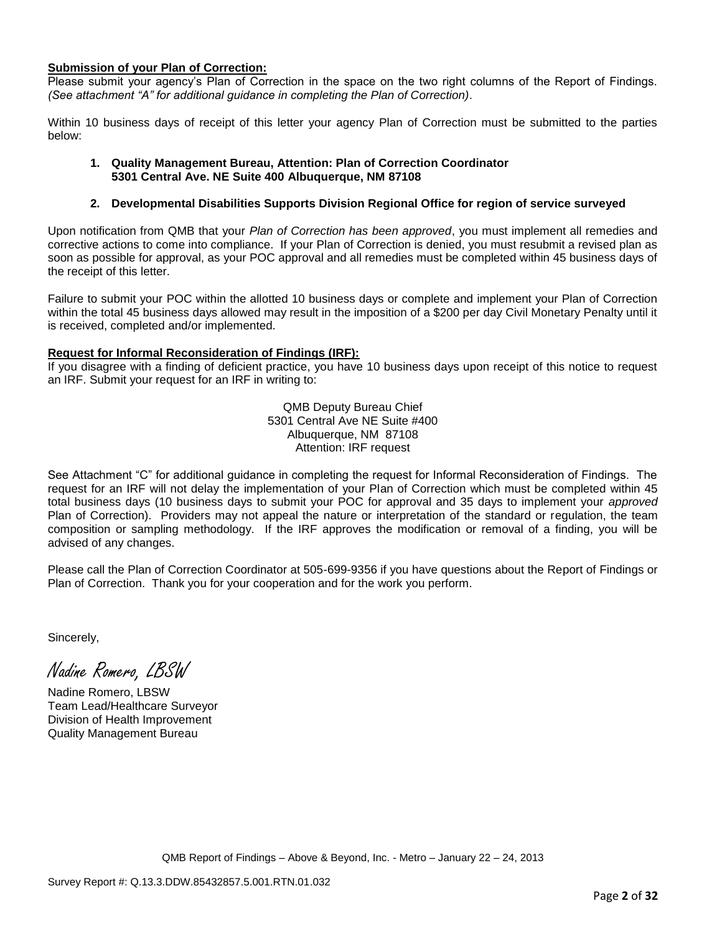#### **Submission of your Plan of Correction:**

Please submit your agency's Plan of Correction in the space on the two right columns of the Report of Findings. *(See attachment "A" for additional guidance in completing the Plan of Correction)*.

Within 10 business days of receipt of this letter your agency Plan of Correction must be submitted to the parties below:

#### **1. Quality Management Bureau, Attention: Plan of Correction Coordinator 5301 Central Ave. NE Suite 400 Albuquerque, NM 87108**

#### **2. Developmental Disabilities Supports Division Regional Office for region of service surveyed**

Upon notification from QMB that your *Plan of Correction has been approved*, you must implement all remedies and corrective actions to come into compliance. If your Plan of Correction is denied, you must resubmit a revised plan as soon as possible for approval, as your POC approval and all remedies must be completed within 45 business days of the receipt of this letter.

Failure to submit your POC within the allotted 10 business days or complete and implement your Plan of Correction within the total 45 business days allowed may result in the imposition of a \$200 per day Civil Monetary Penalty until it is received, completed and/or implemented.

#### **Request for Informal Reconsideration of Findings (IRF):**

If you disagree with a finding of deficient practice, you have 10 business days upon receipt of this notice to request an IRF. Submit your request for an IRF in writing to:

> QMB Deputy Bureau Chief 5301 Central Ave NE Suite #400 Albuquerque, NM 87108 Attention: IRF request

See Attachment "C" for additional guidance in completing the request for Informal Reconsideration of Findings. The request for an IRF will not delay the implementation of your Plan of Correction which must be completed within 45 total business days (10 business days to submit your POC for approval and 35 days to implement your *approved* Plan of Correction). Providers may not appeal the nature or interpretation of the standard or regulation, the team composition or sampling methodology. If the IRF approves the modification or removal of a finding, you will be advised of any changes.

Please call the Plan of Correction Coordinator at 505-699-9356 if you have questions about the Report of Findings or Plan of Correction. Thank you for your cooperation and for the work you perform.

Sincerely,

Nadine Romero, LBSW

Nadine Romero, LBSW Team Lead/Healthcare Surveyor Division of Health Improvement Quality Management Bureau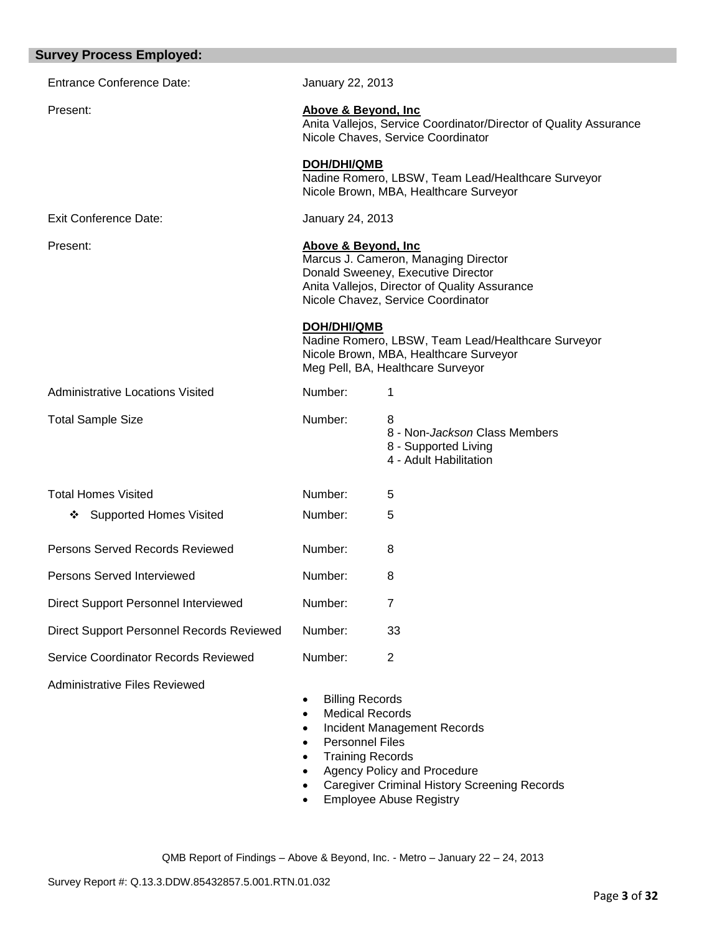| <b>Survey Process Employed:</b>           |                                                                                                       |                                                                                                                                                                   |
|-------------------------------------------|-------------------------------------------------------------------------------------------------------|-------------------------------------------------------------------------------------------------------------------------------------------------------------------|
| <b>Entrance Conference Date:</b>          | January 22, 2013                                                                                      |                                                                                                                                                                   |
| Present:                                  | Above & Beyond, Inc.                                                                                  | Anita Vallejos, Service Coordinator/Director of Quality Assurance<br>Nicole Chaves, Service Coordinator                                                           |
|                                           | <b>DOH/DHI/QMB</b>                                                                                    | Nadine Romero, LBSW, Team Lead/Healthcare Surveyor<br>Nicole Brown, MBA, Healthcare Surveyor                                                                      |
| <b>Exit Conference Date:</b>              | January 24, 2013                                                                                      |                                                                                                                                                                   |
| Present:                                  | Above & Beyond, Inc.                                                                                  | Marcus J. Cameron, Managing Director<br>Donald Sweeney, Executive Director<br>Anita Vallejos, Director of Quality Assurance<br>Nicole Chavez, Service Coordinator |
|                                           | <b>DOH/DHI/QMB</b>                                                                                    | Nadine Romero, LBSW, Team Lead/Healthcare Surveyor<br>Nicole Brown, MBA, Healthcare Surveyor<br>Meg Pell, BA, Healthcare Surveyor                                 |
| <b>Administrative Locations Visited</b>   | Number:                                                                                               | 1                                                                                                                                                                 |
| <b>Total Sample Size</b>                  | Number:                                                                                               | 8<br>8 - Non-Jackson Class Members<br>8 - Supported Living<br>4 - Adult Habilitation                                                                              |
| <b>Total Homes Visited</b>                | Number:                                                                                               | 5                                                                                                                                                                 |
| <b>Supported Homes Visited</b><br>❖       | Number:                                                                                               | 5                                                                                                                                                                 |
| Persons Served Records Reviewed           | Number:                                                                                               | 8                                                                                                                                                                 |
| Persons Served Interviewed                | Number:                                                                                               | 8                                                                                                                                                                 |
| Direct Support Personnel Interviewed      | Number:                                                                                               | 7                                                                                                                                                                 |
| Direct Support Personnel Records Reviewed | Number:                                                                                               | 33                                                                                                                                                                |
| Service Coordinator Records Reviewed      | Number:                                                                                               | $\overline{2}$                                                                                                                                                    |
| <b>Administrative Files Reviewed</b>      | <b>Billing Records</b><br><b>Medical Records</b><br><b>Personnel Files</b><br><b>Training Records</b> | Incident Management Records<br>Agency Policy and Procedure                                                                                                        |

- Caregiver Criminal History Screening Records
- **Employee Abuse Registry**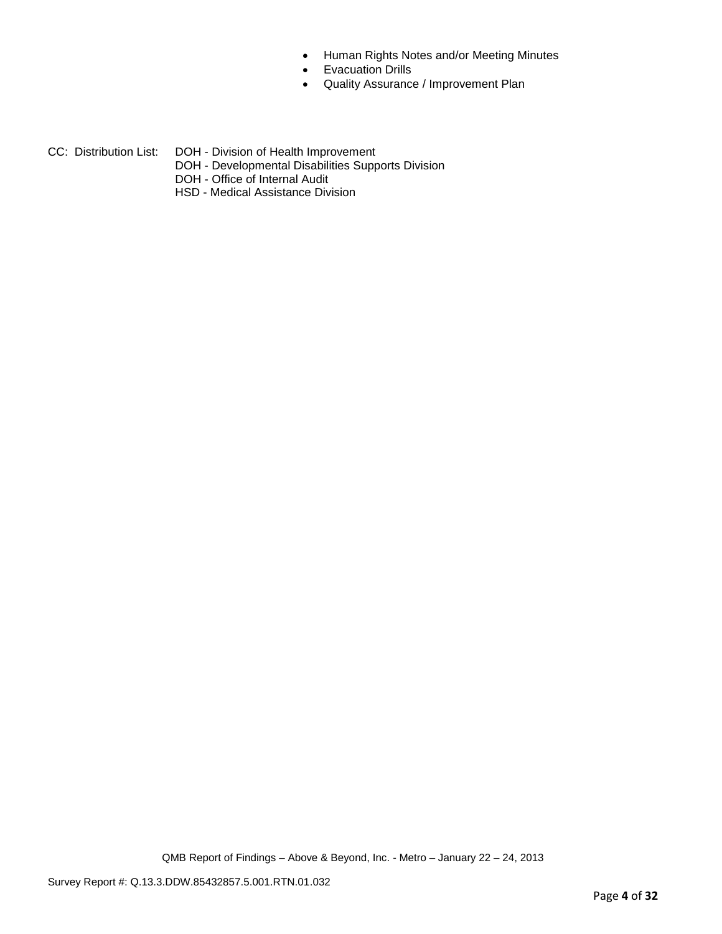- Human Rights Notes and/or Meeting Minutes
- **•** Evacuation Drills
- Quality Assurance / Improvement Plan
- CC: Distribution List: DOH Division of Health Improvement
	- DOH Developmental Disabilities Supports Division
	- DOH Office of Internal Audit
	- HSD Medical Assistance Division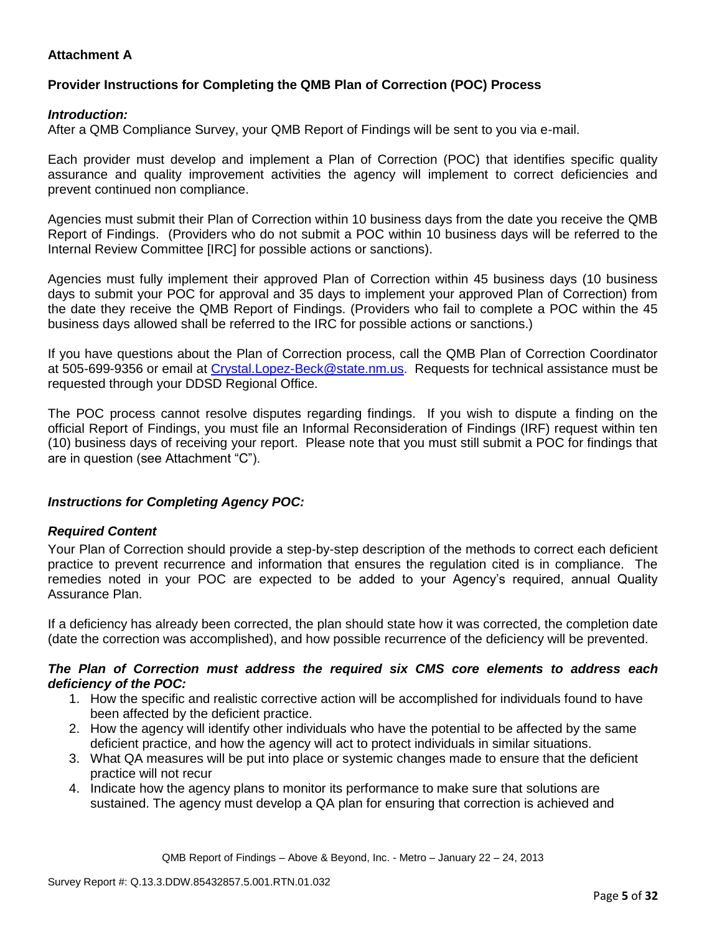# **Attachment A**

# **Provider Instructions for Completing the QMB Plan of Correction (POC) Process**

### *Introduction:*

After a QMB Compliance Survey, your QMB Report of Findings will be sent to you via e-mail.

Each provider must develop and implement a Plan of Correction (POC) that identifies specific quality assurance and quality improvement activities the agency will implement to correct deficiencies and prevent continued non compliance.

Agencies must submit their Plan of Correction within 10 business days from the date you receive the QMB Report of Findings. (Providers who do not submit a POC within 10 business days will be referred to the Internal Review Committee [IRC] for possible actions or sanctions).

Agencies must fully implement their approved Plan of Correction within 45 business days (10 business days to submit your POC for approval and 35 days to implement your approved Plan of Correction) from the date they receive the QMB Report of Findings. (Providers who fail to complete a POC within the 45 business days allowed shall be referred to the IRC for possible actions or sanctions.)

If you have questions about the Plan of Correction process, call the QMB Plan of Correction Coordinator at 505-699-9356 or email at Crystal.Lopez-Beck@state.nm.us. Requests for technical assistance must be requested through your DDSD Regional Office.

The POC process cannot resolve disputes regarding findings. If you wish to dispute a finding on the official Report of Findings, you must file an Informal Reconsideration of Findings (IRF) request within ten (10) business days of receiving your report. Please note that you must still submit a POC for findings that are in question (see Attachment "C").

## *Instructions for Completing Agency POC:*

## *Required Content*

Your Plan of Correction should provide a step-by-step description of the methods to correct each deficient practice to prevent recurrence and information that ensures the regulation cited is in compliance. The remedies noted in your POC are expected to be added to your Agency's required, annual Quality Assurance Plan.

If a deficiency has already been corrected, the plan should state how it was corrected, the completion date (date the correction was accomplished), and how possible recurrence of the deficiency will be prevented.

#### *The Plan of Correction must address the required six CMS core elements to address each deficiency of the POC:*

- 1. How the specific and realistic corrective action will be accomplished for individuals found to have been affected by the deficient practice.
- 2. How the agency will identify other individuals who have the potential to be affected by the same deficient practice, and how the agency will act to protect individuals in similar situations.
- 3. What QA measures will be put into place or systemic changes made to ensure that the deficient practice will not recur
- 4. Indicate how the agency plans to monitor its performance to make sure that solutions are sustained. The agency must develop a QA plan for ensuring that correction is achieved and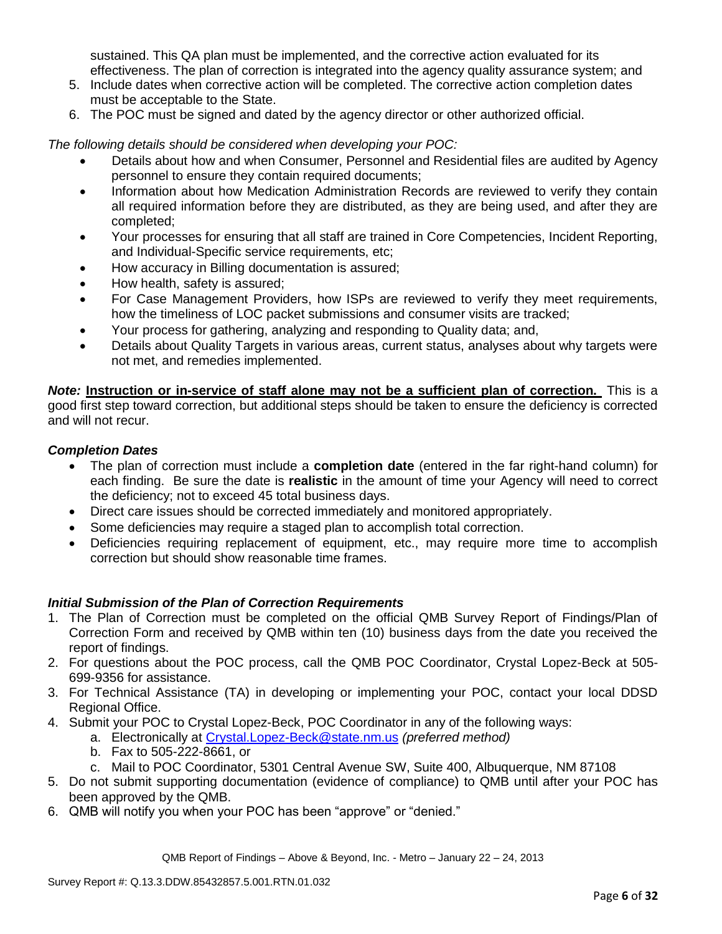sustained. This QA plan must be implemented, and the corrective action evaluated for its effectiveness. The plan of correction is integrated into the agency quality assurance system; and

- 5. Include dates when corrective action will be completed. The corrective action completion dates must be acceptable to the State.
- 6. The POC must be signed and dated by the agency director or other authorized official.

*The following details should be considered when developing your POC:*

- Details about how and when Consumer, Personnel and Residential files are audited by Agency personnel to ensure they contain required documents;
- Information about how Medication Administration Records are reviewed to verify they contain all required information before they are distributed, as they are being used, and after they are completed;
- Your processes for ensuring that all staff are trained in Core Competencies, Incident Reporting, and Individual-Specific service requirements, etc;
- How accuracy in Billing documentation is assured;
- How health, safety is assured;
- For Case Management Providers, how ISPs are reviewed to verify they meet requirements, how the timeliness of LOC packet submissions and consumer visits are tracked;
- Your process for gathering, analyzing and responding to Quality data; and,
- Details about Quality Targets in various areas, current status, analyses about why targets were not met, and remedies implemented.

*Note:* **Instruction or in-service of staff alone may not be a sufficient plan of correction.** This is a good first step toward correction, but additional steps should be taken to ensure the deficiency is corrected and will not recur.

### *Completion Dates*

- The plan of correction must include a **completion date** (entered in the far right-hand column) for each finding. Be sure the date is **realistic** in the amount of time your Agency will need to correct the deficiency; not to exceed 45 total business days.
- Direct care issues should be corrected immediately and monitored appropriately.
- Some deficiencies may require a staged plan to accomplish total correction.
- Deficiencies requiring replacement of equipment, etc., may require more time to accomplish correction but should show reasonable time frames.

## *Initial Submission of the Plan of Correction Requirements*

- 1. The Plan of Correction must be completed on the official QMB Survey Report of Findings/Plan of Correction Form and received by QMB within ten (10) business days from the date you received the report of findings.
- 2. For questions about the POC process, call the QMB POC Coordinator, Crystal Lopez-Beck at 505- 699-9356 for assistance.
- 3. For Technical Assistance (TA) in developing or implementing your POC, contact your local DDSD Regional Office.
- 4. Submit your POC to Crystal Lopez-Beck, POC Coordinator in any of the following ways:
	- a. Electronically at Crystal.Lopez-Beck@state.nm.us *(preferred method)*
	- b. Fax to 505-222-8661, or
	- c. Mail to POC Coordinator, 5301 Central Avenue SW, Suite 400, Albuquerque, NM 87108
- 5. Do not submit supporting documentation (evidence of compliance) to QMB until after your POC has been approved by the QMB.
- 6. QMB will notify you when your POC has been "approve" or "denied."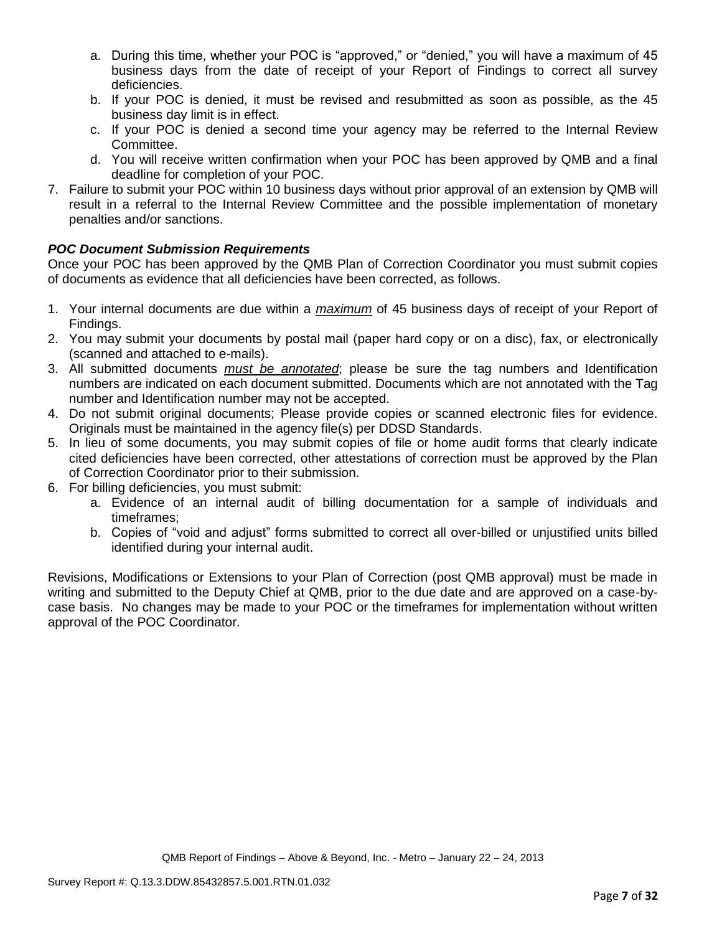- a. During this time, whether your POC is "approved," or "denied," you will have a maximum of 45 business days from the date of receipt of your Report of Findings to correct all survey deficiencies.
- b. If your POC is denied, it must be revised and resubmitted as soon as possible, as the 45 business day limit is in effect.
- c. If your POC is denied a second time your agency may be referred to the Internal Review Committee.
- d. You will receive written confirmation when your POC has been approved by QMB and a final deadline for completion of your POC.
- 7. Failure to submit your POC within 10 business days without prior approval of an extension by QMB will result in a referral to the Internal Review Committee and the possible implementation of monetary penalties and/or sanctions.

# *POC Document Submission Requirements*

Once your POC has been approved by the QMB Plan of Correction Coordinator you must submit copies of documents as evidence that all deficiencies have been corrected, as follows.

- 1. Your internal documents are due within a *maximum* of 45 business days of receipt of your Report of Findings.
- 2. You may submit your documents by postal mail (paper hard copy or on a disc), fax, or electronically (scanned and attached to e-mails).
- 3. All submitted documents *must be annotated*; please be sure the tag numbers and Identification numbers are indicated on each document submitted. Documents which are not annotated with the Tag number and Identification number may not be accepted.
- 4. Do not submit original documents; Please provide copies or scanned electronic files for evidence. Originals must be maintained in the agency file(s) per DDSD Standards.
- 5. In lieu of some documents, you may submit copies of file or home audit forms that clearly indicate cited deficiencies have been corrected, other attestations of correction must be approved by the Plan of Correction Coordinator prior to their submission.
- 6. For billing deficiencies, you must submit:
	- a. Evidence of an internal audit of billing documentation for a sample of individuals and timeframes;
	- b. Copies of "void and adjust" forms submitted to correct all over-billed or unjustified units billed identified during your internal audit.

Revisions, Modifications or Extensions to your Plan of Correction (post QMB approval) must be made in writing and submitted to the Deputy Chief at QMB, prior to the due date and are approved on a case-bycase basis. No changes may be made to your POC or the timeframes for implementation without written approval of the POC Coordinator.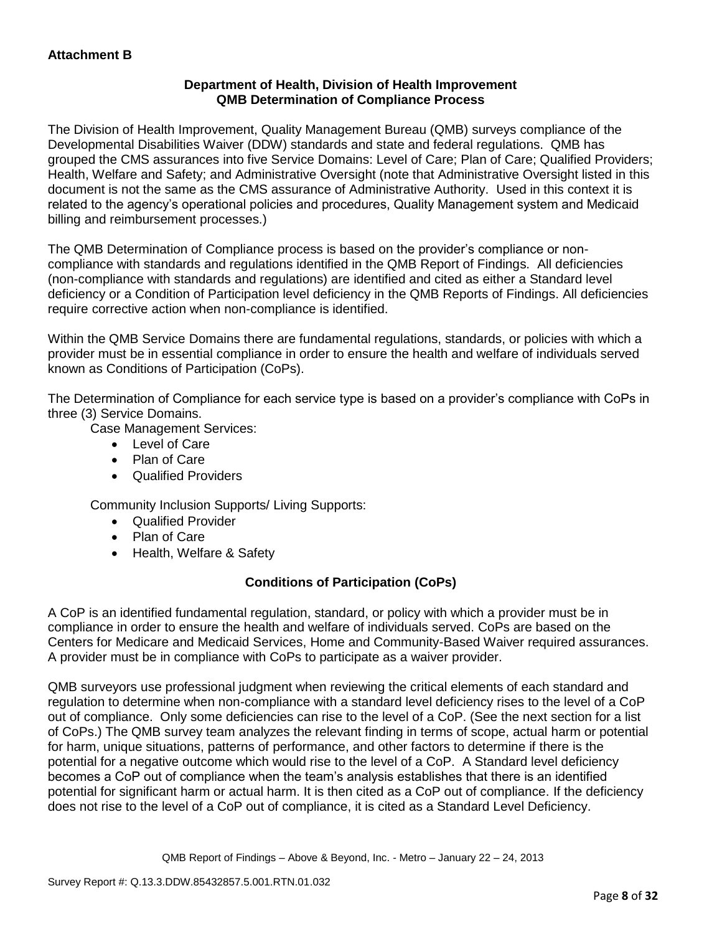## **Department of Health, Division of Health Improvement QMB Determination of Compliance Process**

The Division of Health Improvement, Quality Management Bureau (QMB) surveys compliance of the Developmental Disabilities Waiver (DDW) standards and state and federal regulations. QMB has grouped the CMS assurances into five Service Domains: Level of Care; Plan of Care; Qualified Providers; Health, Welfare and Safety; and Administrative Oversight (note that Administrative Oversight listed in this document is not the same as the CMS assurance of Administrative Authority. Used in this context it is related to the agency's operational policies and procedures, Quality Management system and Medicaid billing and reimbursement processes.)

The QMB Determination of Compliance process is based on the provider's compliance or noncompliance with standards and regulations identified in the QMB Report of Findings. All deficiencies (non-compliance with standards and regulations) are identified and cited as either a Standard level deficiency or a Condition of Participation level deficiency in the QMB Reports of Findings. All deficiencies require corrective action when non-compliance is identified.

Within the QMB Service Domains there are fundamental regulations, standards, or policies with which a provider must be in essential compliance in order to ensure the health and welfare of individuals served known as Conditions of Participation (CoPs).

The Determination of Compliance for each service type is based on a provider's compliance with CoPs in three (3) Service Domains.

Case Management Services:

- Level of Care
- Plan of Care
- Qualified Providers

Community Inclusion Supports/ Living Supports:

- Qualified Provider
- Plan of Care
- Health, Welfare & Safety

# **Conditions of Participation (CoPs)**

A CoP is an identified fundamental regulation, standard, or policy with which a provider must be in compliance in order to ensure the health and welfare of individuals served. CoPs are based on the Centers for Medicare and Medicaid Services, Home and Community-Based Waiver required assurances. A provider must be in compliance with CoPs to participate as a waiver provider.

QMB surveyors use professional judgment when reviewing the critical elements of each standard and regulation to determine when non-compliance with a standard level deficiency rises to the level of a CoP out of compliance. Only some deficiencies can rise to the level of a CoP. (See the next section for a list of CoPs.) The QMB survey team analyzes the relevant finding in terms of scope, actual harm or potential for harm, unique situations, patterns of performance, and other factors to determine if there is the potential for a negative outcome which would rise to the level of a CoP. A Standard level deficiency becomes a CoP out of compliance when the team's analysis establishes that there is an identified potential for significant harm or actual harm. It is then cited as a CoP out of compliance. If the deficiency does not rise to the level of a CoP out of compliance, it is cited as a Standard Level Deficiency.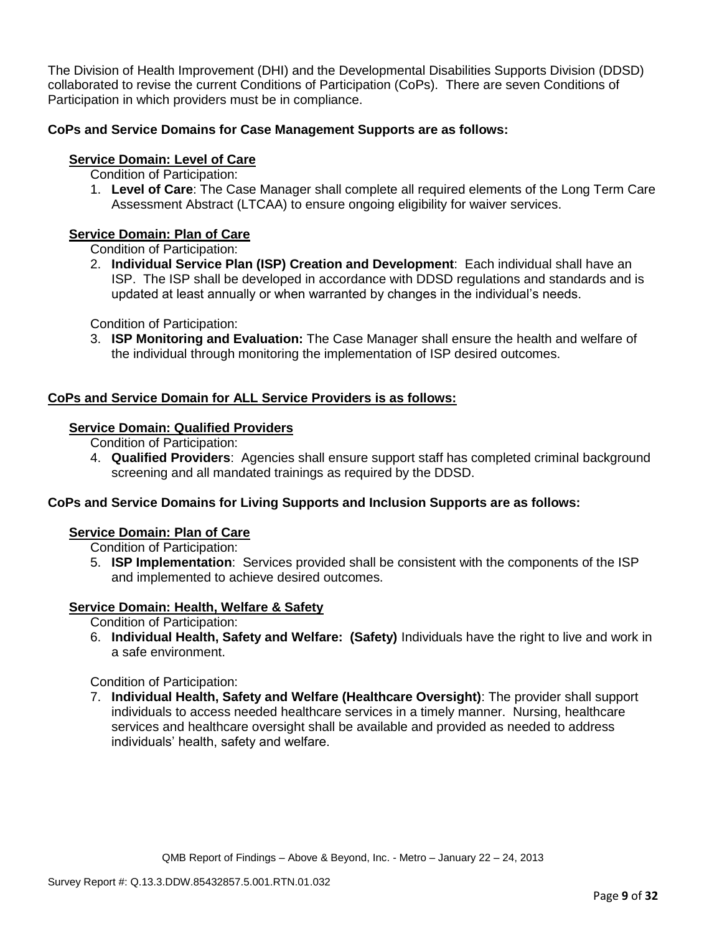The Division of Health Improvement (DHI) and the Developmental Disabilities Supports Division (DDSD) collaborated to revise the current Conditions of Participation (CoPs). There are seven Conditions of Participation in which providers must be in compliance.

# **CoPs and Service Domains for Case Management Supports are as follows:**

## **Service Domain: Level of Care**

- Condition of Participation:
- 1. **Level of Care**: The Case Manager shall complete all required elements of the Long Term Care Assessment Abstract (LTCAA) to ensure ongoing eligibility for waiver services.

# **Service Domain: Plan of Care**

Condition of Participation:

2. **Individual Service Plan (ISP) Creation and Development**: Each individual shall have an ISP. The ISP shall be developed in accordance with DDSD regulations and standards and is updated at least annually or when warranted by changes in the individual's needs.

Condition of Participation:

3. **ISP Monitoring and Evaluation:** The Case Manager shall ensure the health and welfare of the individual through monitoring the implementation of ISP desired outcomes.

## **CoPs and Service Domain for ALL Service Providers is as follows:**

## **Service Domain: Qualified Providers**

- Condition of Participation:
- 4. **Qualified Providers**: Agencies shall ensure support staff has completed criminal background screening and all mandated trainings as required by the DDSD.

## **CoPs and Service Domains for Living Supports and Inclusion Supports are as follows:**

#### **Service Domain: Plan of Care**

Condition of Participation:

5. **ISP Implementation**: Services provided shall be consistent with the components of the ISP and implemented to achieve desired outcomes.

## **Service Domain: Health, Welfare & Safety**

Condition of Participation:

6. **Individual Health, Safety and Welfare: (Safety)** Individuals have the right to live and work in a safe environment.

Condition of Participation:

7. **Individual Health, Safety and Welfare (Healthcare Oversight)**: The provider shall support individuals to access needed healthcare services in a timely manner. Nursing, healthcare services and healthcare oversight shall be available and provided as needed to address individuals' health, safety and welfare.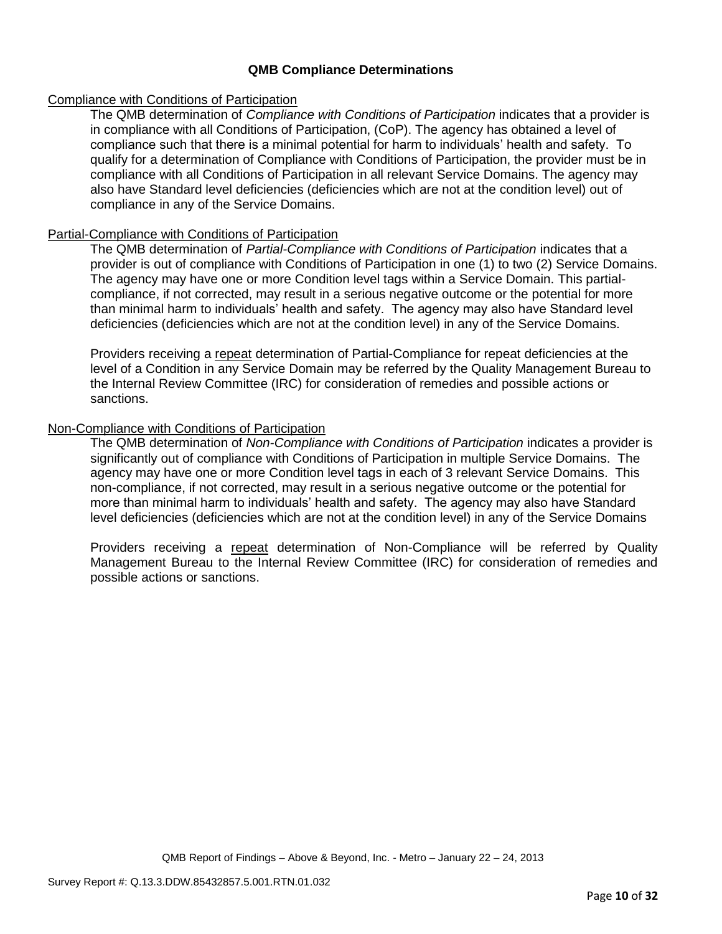### **QMB Compliance Determinations**

### Compliance with Conditions of Participation

The QMB determination of *Compliance with Conditions of Participation* indicates that a provider is in compliance with all Conditions of Participation, (CoP). The agency has obtained a level of compliance such that there is a minimal potential for harm to individuals' health and safety. To qualify for a determination of Compliance with Conditions of Participation, the provider must be in compliance with all Conditions of Participation in all relevant Service Domains. The agency may also have Standard level deficiencies (deficiencies which are not at the condition level) out of compliance in any of the Service Domains.

### Partial-Compliance with Conditions of Participation

The QMB determination of *Partial-Compliance with Conditions of Participation* indicates that a provider is out of compliance with Conditions of Participation in one (1) to two (2) Service Domains. The agency may have one or more Condition level tags within a Service Domain. This partialcompliance, if not corrected, may result in a serious negative outcome or the potential for more than minimal harm to individuals' health and safety. The agency may also have Standard level deficiencies (deficiencies which are not at the condition level) in any of the Service Domains.

Providers receiving a repeat determination of Partial-Compliance for repeat deficiencies at the level of a Condition in any Service Domain may be referred by the Quality Management Bureau to the Internal Review Committee (IRC) for consideration of remedies and possible actions or sanctions.

### Non-Compliance with Conditions of Participation

The QMB determination of *Non-Compliance with Conditions of Participation* indicates a provider is significantly out of compliance with Conditions of Participation in multiple Service Domains. The agency may have one or more Condition level tags in each of 3 relevant Service Domains. This non-compliance, if not corrected, may result in a serious negative outcome or the potential for more than minimal harm to individuals' health and safety. The agency may also have Standard level deficiencies (deficiencies which are not at the condition level) in any of the Service Domains

Providers receiving a repeat determination of Non-Compliance will be referred by Quality Management Bureau to the Internal Review Committee (IRC) for consideration of remedies and possible actions or sanctions.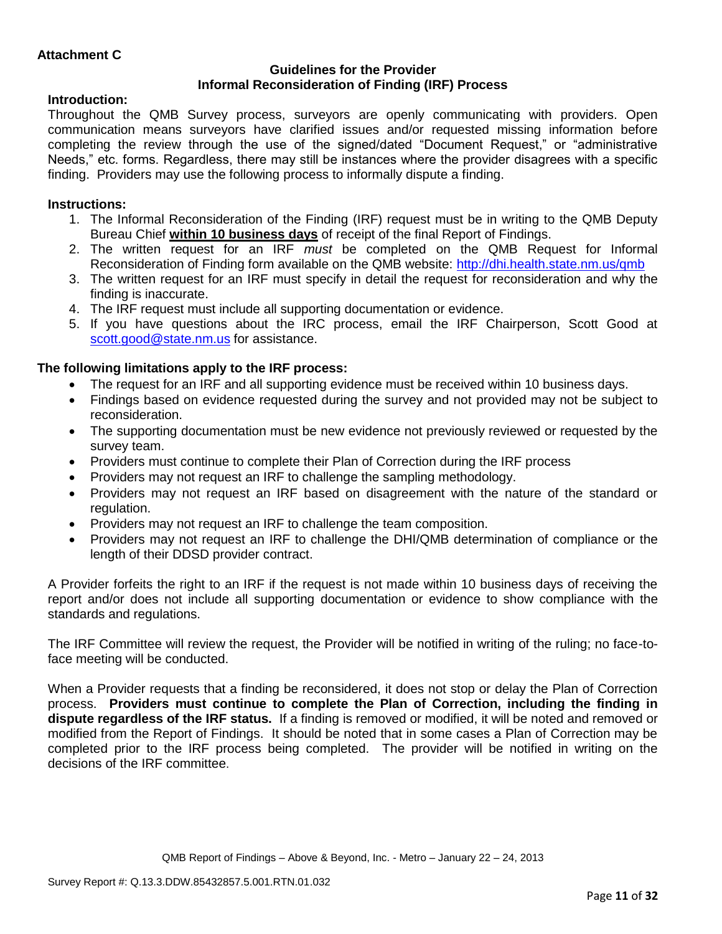### **Guidelines for the Provider Informal Reconsideration of Finding (IRF) Process**

# **Introduction:**

Throughout the QMB Survey process, surveyors are openly communicating with providers. Open communication means surveyors have clarified issues and/or requested missing information before completing the review through the use of the signed/dated "Document Request," or "administrative Needs," etc. forms. Regardless, there may still be instances where the provider disagrees with a specific finding. Providers may use the following process to informally dispute a finding.

# **Instructions:**

- 1. The Informal Reconsideration of the Finding (IRF) request must be in writing to the QMB Deputy Bureau Chief **within 10 business days** of receipt of the final Report of Findings.
- 2. The written request for an IRF *must* be completed on the QMB Request for Informal Reconsideration of Finding form available on the QMB website:<http://dhi.health.state.nm.us/qmb>
- 3. The written request for an IRF must specify in detail the request for reconsideration and why the finding is inaccurate.
- 4. The IRF request must include all supporting documentation or evidence.
- 5. If you have questions about the IRC process, email the IRF Chairperson, Scott Good at [scott.good@state.nm.us](mailto:scott.good@state.nm.us) for assistance.

# **The following limitations apply to the IRF process:**

- The request for an IRF and all supporting evidence must be received within 10 business days.
- Findings based on evidence requested during the survey and not provided may not be subject to reconsideration.
- The supporting documentation must be new evidence not previously reviewed or requested by the survey team.
- Providers must continue to complete their Plan of Correction during the IRF process
- Providers may not request an IRF to challenge the sampling methodology.
- Providers may not request an IRF based on disagreement with the nature of the standard or regulation.
- Providers may not request an IRF to challenge the team composition.
- Providers may not request an IRF to challenge the DHI/QMB determination of compliance or the length of their DDSD provider contract.

A Provider forfeits the right to an IRF if the request is not made within 10 business days of receiving the report and/or does not include all supporting documentation or evidence to show compliance with the standards and regulations.

The IRF Committee will review the request, the Provider will be notified in writing of the ruling; no face-toface meeting will be conducted.

When a Provider requests that a finding be reconsidered, it does not stop or delay the Plan of Correction process. **Providers must continue to complete the Plan of Correction, including the finding in dispute regardless of the IRF status.** If a finding is removed or modified, it will be noted and removed or modified from the Report of Findings. It should be noted that in some cases a Plan of Correction may be completed prior to the IRF process being completed. The provider will be notified in writing on the decisions of the IRF committee.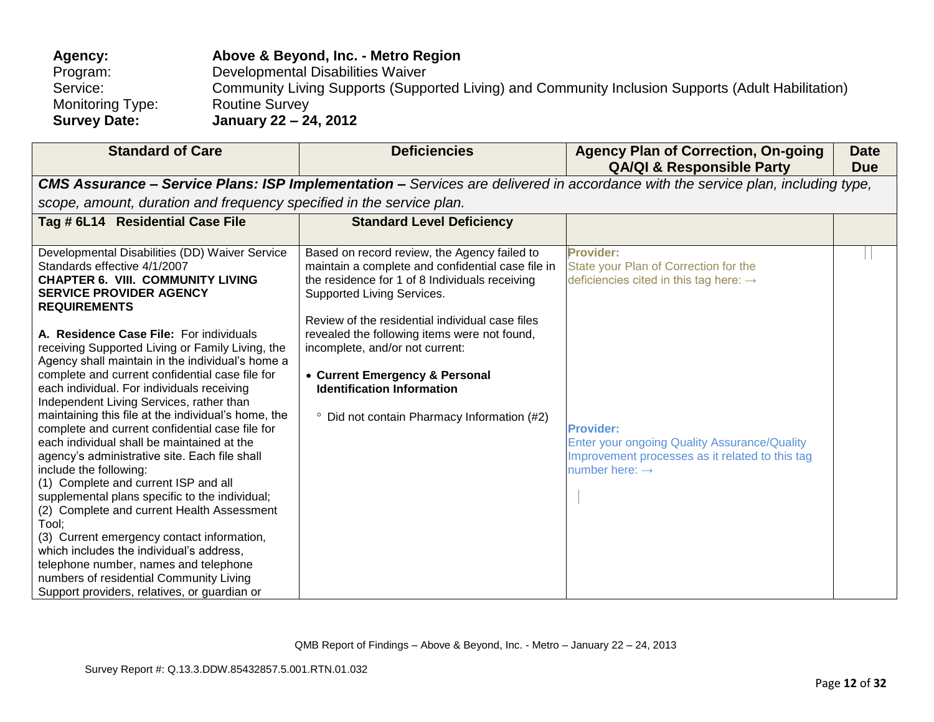| <b>Agency:</b>      | Above & Beyond, Inc. - Metro Region                                                                |
|---------------------|----------------------------------------------------------------------------------------------------|
| Program:            | Developmental Disabilities Waiver                                                                  |
| Service:            | Community Living Supports (Supported Living) and Community Inclusion Supports (Adult Habilitation) |
| Monitoring Type:    | <b>Routine Survey</b>                                                                              |
| <b>Survey Date:</b> | January 22 – 24, 2012                                                                              |

| <b>Standard of Care</b>                                                                                                                                                                                                                                                                                                                                                                                                                                                                                                                                                                                                                                                                                                                                                                                                                                                                                                                                                                                    | <b>Deficiencies</b>                                                                                                                                                                                                                                                                                                                                                                                                                                      | <b>Agency Plan of Correction, On-going</b><br><b>QA/QI &amp; Responsible Party</b>                                                                                                                                                                                          | <b>Date</b><br><b>Due</b> |
|------------------------------------------------------------------------------------------------------------------------------------------------------------------------------------------------------------------------------------------------------------------------------------------------------------------------------------------------------------------------------------------------------------------------------------------------------------------------------------------------------------------------------------------------------------------------------------------------------------------------------------------------------------------------------------------------------------------------------------------------------------------------------------------------------------------------------------------------------------------------------------------------------------------------------------------------------------------------------------------------------------|----------------------------------------------------------------------------------------------------------------------------------------------------------------------------------------------------------------------------------------------------------------------------------------------------------------------------------------------------------------------------------------------------------------------------------------------------------|-----------------------------------------------------------------------------------------------------------------------------------------------------------------------------------------------------------------------------------------------------------------------------|---------------------------|
|                                                                                                                                                                                                                                                                                                                                                                                                                                                                                                                                                                                                                                                                                                                                                                                                                                                                                                                                                                                                            |                                                                                                                                                                                                                                                                                                                                                                                                                                                          | <b>CMS Assurance - Service Plans: ISP Implementation -</b> Services are delivered in accordance with the service plan, including type,                                                                                                                                      |                           |
| scope, amount, duration and frequency specified in the service plan.                                                                                                                                                                                                                                                                                                                                                                                                                                                                                                                                                                                                                                                                                                                                                                                                                                                                                                                                       |                                                                                                                                                                                                                                                                                                                                                                                                                                                          |                                                                                                                                                                                                                                                                             |                           |
| Tag # 6L14 Residential Case File                                                                                                                                                                                                                                                                                                                                                                                                                                                                                                                                                                                                                                                                                                                                                                                                                                                                                                                                                                           | <b>Standard Level Deficiency</b>                                                                                                                                                                                                                                                                                                                                                                                                                         |                                                                                                                                                                                                                                                                             |                           |
| Developmental Disabilities (DD) Waiver Service<br>Standards effective 4/1/2007<br><b>CHAPTER 6. VIII. COMMUNITY LIVING</b><br><b>SERVICE PROVIDER AGENCY</b><br><b>REQUIREMENTS</b><br>A. Residence Case File: For individuals<br>receiving Supported Living or Family Living, the<br>Agency shall maintain in the individual's home a<br>complete and current confidential case file for<br>each individual. For individuals receiving<br>Independent Living Services, rather than<br>maintaining this file at the individual's home, the<br>complete and current confidential case file for<br>each individual shall be maintained at the<br>agency's administrative site. Each file shall<br>include the following:<br>(1) Complete and current ISP and all<br>supplemental plans specific to the individual;<br>(2) Complete and current Health Assessment<br>Tool:<br>(3) Current emergency contact information,<br>which includes the individual's address.<br>telephone number, names and telephone | Based on record review, the Agency failed to<br>maintain a complete and confidential case file in<br>the residence for 1 of 8 Individuals receiving<br>Supported Living Services.<br>Review of the residential individual case files<br>revealed the following items were not found,<br>incomplete, and/or not current:<br>• Current Emergency & Personal<br><b>Identification Information</b><br><sup>o</sup> Did not contain Pharmacy Information (#2) | <b>Provider:</b><br>State your Plan of Correction for the<br>deficiencies cited in this tag here: $\rightarrow$<br><b>Provider:</b><br><b>Enter your ongoing Quality Assurance/Quality</b><br>Improvement processes as it related to this tag<br>number here: $\rightarrow$ |                           |
| numbers of residential Community Living<br>Support providers, relatives, or guardian or                                                                                                                                                                                                                                                                                                                                                                                                                                                                                                                                                                                                                                                                                                                                                                                                                                                                                                                    |                                                                                                                                                                                                                                                                                                                                                                                                                                                          |                                                                                                                                                                                                                                                                             |                           |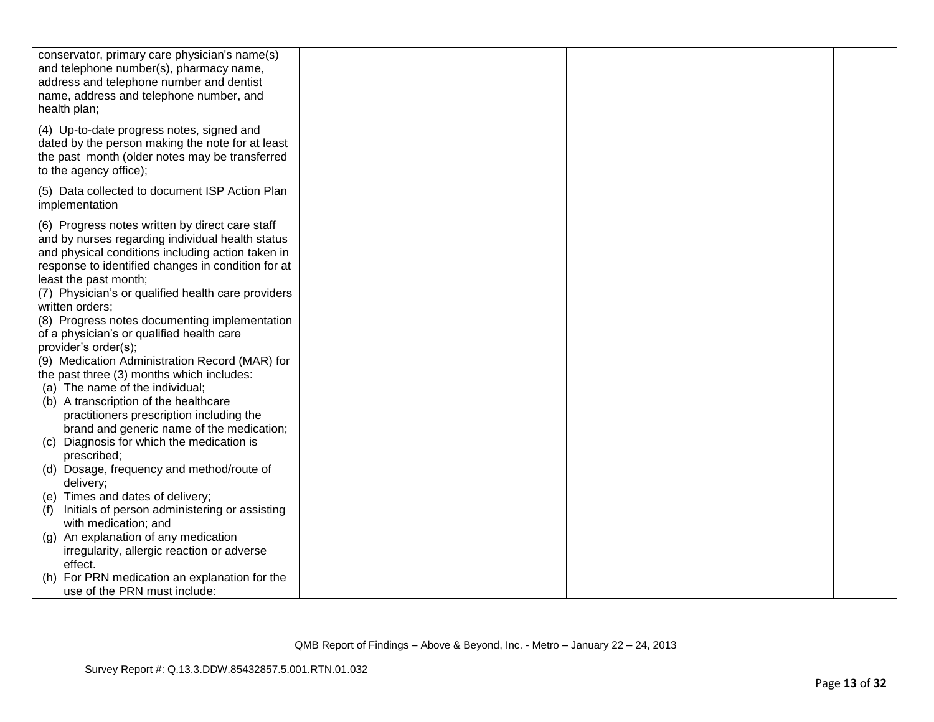| conservator, primary care physician's name(s)<br>and telephone number(s), pharmacy name,<br>address and telephone number and dentist<br>name, address and telephone number, and<br>health plan;                                                                                                                                                                                                                                                                                                                                                                                                                                                                                                                                                                                                                                  |  |  |
|----------------------------------------------------------------------------------------------------------------------------------------------------------------------------------------------------------------------------------------------------------------------------------------------------------------------------------------------------------------------------------------------------------------------------------------------------------------------------------------------------------------------------------------------------------------------------------------------------------------------------------------------------------------------------------------------------------------------------------------------------------------------------------------------------------------------------------|--|--|
| (4) Up-to-date progress notes, signed and<br>dated by the person making the note for at least<br>the past month (older notes may be transferred<br>to the agency office);                                                                                                                                                                                                                                                                                                                                                                                                                                                                                                                                                                                                                                                        |  |  |
| (5) Data collected to document ISP Action Plan<br>implementation                                                                                                                                                                                                                                                                                                                                                                                                                                                                                                                                                                                                                                                                                                                                                                 |  |  |
| (6) Progress notes written by direct care staff<br>and by nurses regarding individual health status<br>and physical conditions including action taken in<br>response to identified changes in condition for at<br>least the past month;<br>(7) Physician's or qualified health care providers<br>written orders;<br>(8) Progress notes documenting implementation<br>of a physician's or qualified health care<br>provider's order(s);<br>(9) Medication Administration Record (MAR) for<br>the past three (3) months which includes:<br>(a) The name of the individual;<br>(b) A transcription of the healthcare<br>practitioners prescription including the<br>brand and generic name of the medication;<br>(c) Diagnosis for which the medication is<br>prescribed;<br>(d) Dosage, frequency and method/route of<br>delivery; |  |  |
| (e) Times and dates of delivery;<br>Initials of person administering or assisting<br>(f)                                                                                                                                                                                                                                                                                                                                                                                                                                                                                                                                                                                                                                                                                                                                         |  |  |
| with medication; and                                                                                                                                                                                                                                                                                                                                                                                                                                                                                                                                                                                                                                                                                                                                                                                                             |  |  |
| (g) An explanation of any medication                                                                                                                                                                                                                                                                                                                                                                                                                                                                                                                                                                                                                                                                                                                                                                                             |  |  |
| irregularity, allergic reaction or adverse                                                                                                                                                                                                                                                                                                                                                                                                                                                                                                                                                                                                                                                                                                                                                                                       |  |  |
| effect.<br>(h) For PRN medication an explanation for the<br>use of the PRN must include:                                                                                                                                                                                                                                                                                                                                                                                                                                                                                                                                                                                                                                                                                                                                         |  |  |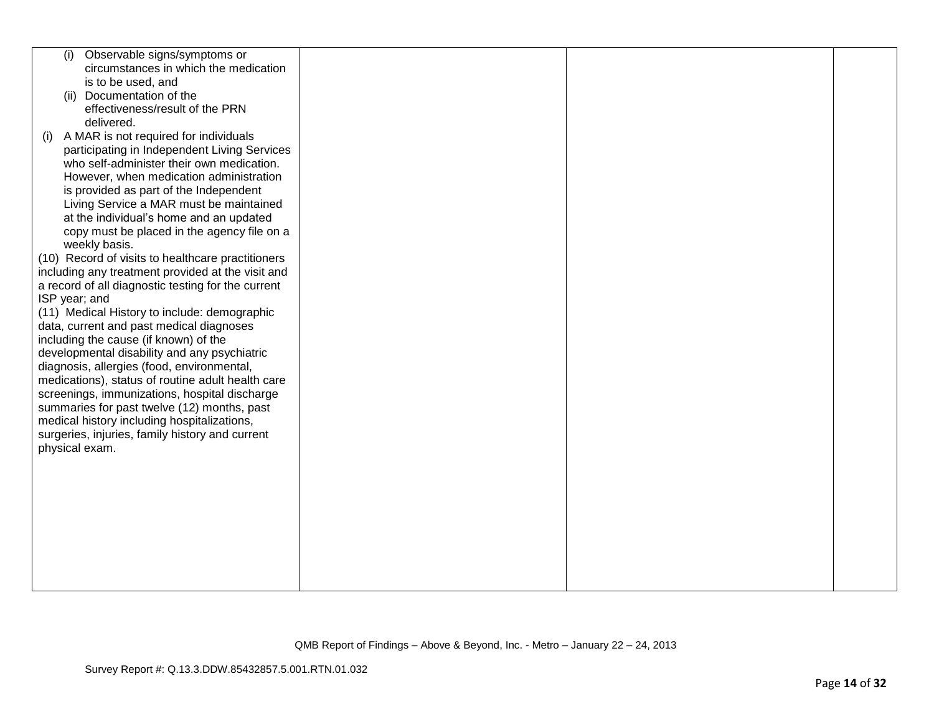| Observable signs/symptoms or<br>(i)                |  |  |
|----------------------------------------------------|--|--|
| circumstances in which the medication              |  |  |
| is to be used, and                                 |  |  |
| (ii) Documentation of the                          |  |  |
| effectiveness/result of the PRN                    |  |  |
| delivered.                                         |  |  |
| A MAR is not required for individuals<br>(i)       |  |  |
| participating in Independent Living Services       |  |  |
| who self-administer their own medication.          |  |  |
| However, when medication administration            |  |  |
| is provided as part of the Independent             |  |  |
| Living Service a MAR must be maintained            |  |  |
| at the individual's home and an updated            |  |  |
| copy must be placed in the agency file on a        |  |  |
| weekly basis.                                      |  |  |
| (10) Record of visits to healthcare practitioners  |  |  |
| including any treatment provided at the visit and  |  |  |
| a record of all diagnostic testing for the current |  |  |
| ISP year; and                                      |  |  |
| (11) Medical History to include: demographic       |  |  |
| data, current and past medical diagnoses           |  |  |
| including the cause (if known) of the              |  |  |
| developmental disability and any psychiatric       |  |  |
| diagnosis, allergies (food, environmental,         |  |  |
| medications), status of routine adult health care  |  |  |
| screenings, immunizations, hospital discharge      |  |  |
| summaries for past twelve (12) months, past        |  |  |
| medical history including hospitalizations,        |  |  |
| surgeries, injuries, family history and current    |  |  |
| physical exam.                                     |  |  |
|                                                    |  |  |
|                                                    |  |  |
|                                                    |  |  |
|                                                    |  |  |
|                                                    |  |  |
|                                                    |  |  |
|                                                    |  |  |
|                                                    |  |  |
|                                                    |  |  |
|                                                    |  |  |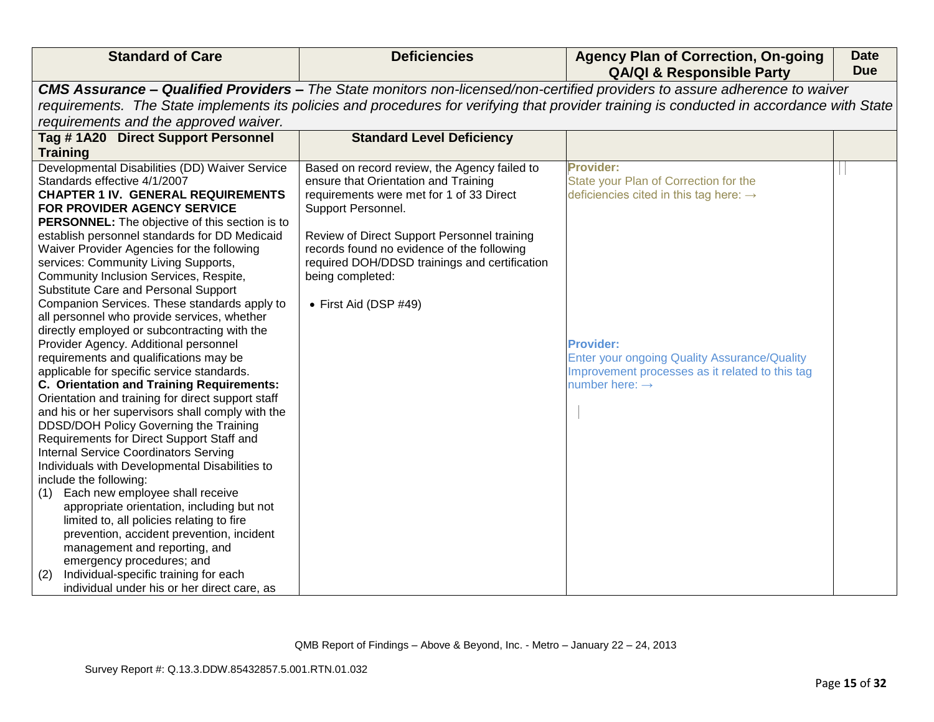| <b>Standard of Care</b>                                                                                                                                                                                                                                                                                                                                                                                                                                                                                                                                                                                                                                                                                                                                                                                                                                                                                                                                                                                                                                                                                                                                                                                                                                                                                                                                                                               | <b>Deficiencies</b>                                                                                                                                                                                                                                                                                                                               | <b>Agency Plan of Correction, On-going</b><br><b>QA/QI &amp; Responsible Party</b>                                                                                                                                                                                          | <b>Date</b><br><b>Due</b> |
|-------------------------------------------------------------------------------------------------------------------------------------------------------------------------------------------------------------------------------------------------------------------------------------------------------------------------------------------------------------------------------------------------------------------------------------------------------------------------------------------------------------------------------------------------------------------------------------------------------------------------------------------------------------------------------------------------------------------------------------------------------------------------------------------------------------------------------------------------------------------------------------------------------------------------------------------------------------------------------------------------------------------------------------------------------------------------------------------------------------------------------------------------------------------------------------------------------------------------------------------------------------------------------------------------------------------------------------------------------------------------------------------------------|---------------------------------------------------------------------------------------------------------------------------------------------------------------------------------------------------------------------------------------------------------------------------------------------------------------------------------------------------|-----------------------------------------------------------------------------------------------------------------------------------------------------------------------------------------------------------------------------------------------------------------------------|---------------------------|
|                                                                                                                                                                                                                                                                                                                                                                                                                                                                                                                                                                                                                                                                                                                                                                                                                                                                                                                                                                                                                                                                                                                                                                                                                                                                                                                                                                                                       |                                                                                                                                                                                                                                                                                                                                                   | CMS Assurance - Qualified Providers - The State monitors non-licensed/non-certified providers to assure adherence to waiver                                                                                                                                                 |                           |
|                                                                                                                                                                                                                                                                                                                                                                                                                                                                                                                                                                                                                                                                                                                                                                                                                                                                                                                                                                                                                                                                                                                                                                                                                                                                                                                                                                                                       |                                                                                                                                                                                                                                                                                                                                                   | requirements. The State implements its policies and procedures for verifying that provider training is conducted in accordance with State                                                                                                                                   |                           |
| requirements and the approved waiver.                                                                                                                                                                                                                                                                                                                                                                                                                                                                                                                                                                                                                                                                                                                                                                                                                                                                                                                                                                                                                                                                                                                                                                                                                                                                                                                                                                 |                                                                                                                                                                                                                                                                                                                                                   |                                                                                                                                                                                                                                                                             |                           |
| Tag #1A20 Direct Support Personnel                                                                                                                                                                                                                                                                                                                                                                                                                                                                                                                                                                                                                                                                                                                                                                                                                                                                                                                                                                                                                                                                                                                                                                                                                                                                                                                                                                    | <b>Standard Level Deficiency</b>                                                                                                                                                                                                                                                                                                                  |                                                                                                                                                                                                                                                                             |                           |
| <b>Training</b>                                                                                                                                                                                                                                                                                                                                                                                                                                                                                                                                                                                                                                                                                                                                                                                                                                                                                                                                                                                                                                                                                                                                                                                                                                                                                                                                                                                       |                                                                                                                                                                                                                                                                                                                                                   |                                                                                                                                                                                                                                                                             |                           |
| Developmental Disabilities (DD) Waiver Service<br>Standards effective 4/1/2007<br><b>CHAPTER 1 IV. GENERAL REQUIREMENTS</b><br>FOR PROVIDER AGENCY SERVICE<br><b>PERSONNEL:</b> The objective of this section is to<br>establish personnel standards for DD Medicaid<br>Waiver Provider Agencies for the following<br>services: Community Living Supports,<br>Community Inclusion Services, Respite,<br>Substitute Care and Personal Support<br>Companion Services. These standards apply to<br>all personnel who provide services, whether<br>directly employed or subcontracting with the<br>Provider Agency. Additional personnel<br>requirements and qualifications may be<br>applicable for specific service standards.<br>C. Orientation and Training Requirements:<br>Orientation and training for direct support staff<br>and his or her supervisors shall comply with the<br>DDSD/DOH Policy Governing the Training<br>Requirements for Direct Support Staff and<br><b>Internal Service Coordinators Serving</b><br>Individuals with Developmental Disabilities to<br>include the following:<br>Each new employee shall receive<br>(1)<br>appropriate orientation, including but not<br>limited to, all policies relating to fire<br>prevention, accident prevention, incident<br>management and reporting, and<br>emergency procedures; and<br>Individual-specific training for each<br>(2) | Based on record review, the Agency failed to<br>ensure that Orientation and Training<br>requirements were met for 1 of 33 Direct<br>Support Personnel.<br>Review of Direct Support Personnel training<br>records found no evidence of the following<br>required DOH/DDSD trainings and certification<br>being completed:<br>• First Aid (DSP #49) | <b>Provider:</b><br>State your Plan of Correction for the<br>deficiencies cited in this tag here: $\rightarrow$<br><b>Provider:</b><br><b>Enter your ongoing Quality Assurance/Quality</b><br>Improvement processes as it related to this tag<br>number here: $\rightarrow$ |                           |
| individual under his or her direct care, as                                                                                                                                                                                                                                                                                                                                                                                                                                                                                                                                                                                                                                                                                                                                                                                                                                                                                                                                                                                                                                                                                                                                                                                                                                                                                                                                                           |                                                                                                                                                                                                                                                                                                                                                   |                                                                                                                                                                                                                                                                             |                           |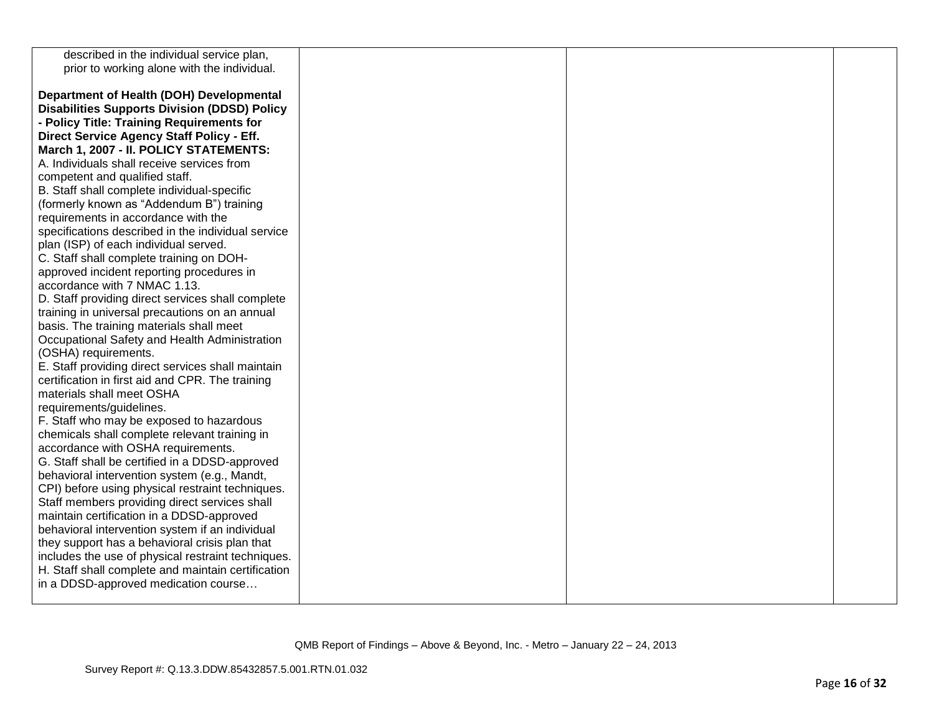| described in the individual service plan,           |  |  |
|-----------------------------------------------------|--|--|
| prior to working alone with the individual.         |  |  |
|                                                     |  |  |
| Department of Health (DOH) Developmental            |  |  |
| <b>Disabilities Supports Division (DDSD) Policy</b> |  |  |
| - Policy Title: Training Requirements for           |  |  |
| Direct Service Agency Staff Policy - Eff.           |  |  |
| March 1, 2007 - II. POLICY STATEMENTS:              |  |  |
| A. Individuals shall receive services from          |  |  |
| competent and qualified staff.                      |  |  |
| B. Staff shall complete individual-specific         |  |  |
| (formerly known as "Addendum B") training           |  |  |
| requirements in accordance with the                 |  |  |
| specifications described in the individual service  |  |  |
| plan (ISP) of each individual served.               |  |  |
| C. Staff shall complete training on DOH-            |  |  |
| approved incident reporting procedures in           |  |  |
| accordance with 7 NMAC 1.13.                        |  |  |
| D. Staff providing direct services shall complete   |  |  |
| training in universal precautions on an annual      |  |  |
| basis. The training materials shall meet            |  |  |
| Occupational Safety and Health Administration       |  |  |
| (OSHA) requirements.                                |  |  |
| E. Staff providing direct services shall maintain   |  |  |
| certification in first aid and CPR. The training    |  |  |
| materials shall meet OSHA                           |  |  |
| requirements/guidelines.                            |  |  |
| F. Staff who may be exposed to hazardous            |  |  |
| chemicals shall complete relevant training in       |  |  |
| accordance with OSHA requirements.                  |  |  |
| G. Staff shall be certified in a DDSD-approved      |  |  |
| behavioral intervention system (e.g., Mandt,        |  |  |
| CPI) before using physical restraint techniques.    |  |  |
| Staff members providing direct services shall       |  |  |
| maintain certification in a DDSD-approved           |  |  |
| behavioral intervention system if an individual     |  |  |
| they support has a behavioral crisis plan that      |  |  |
| includes the use of physical restraint techniques.  |  |  |
| H. Staff shall complete and maintain certification  |  |  |
| in a DDSD-approved medication course                |  |  |
|                                                     |  |  |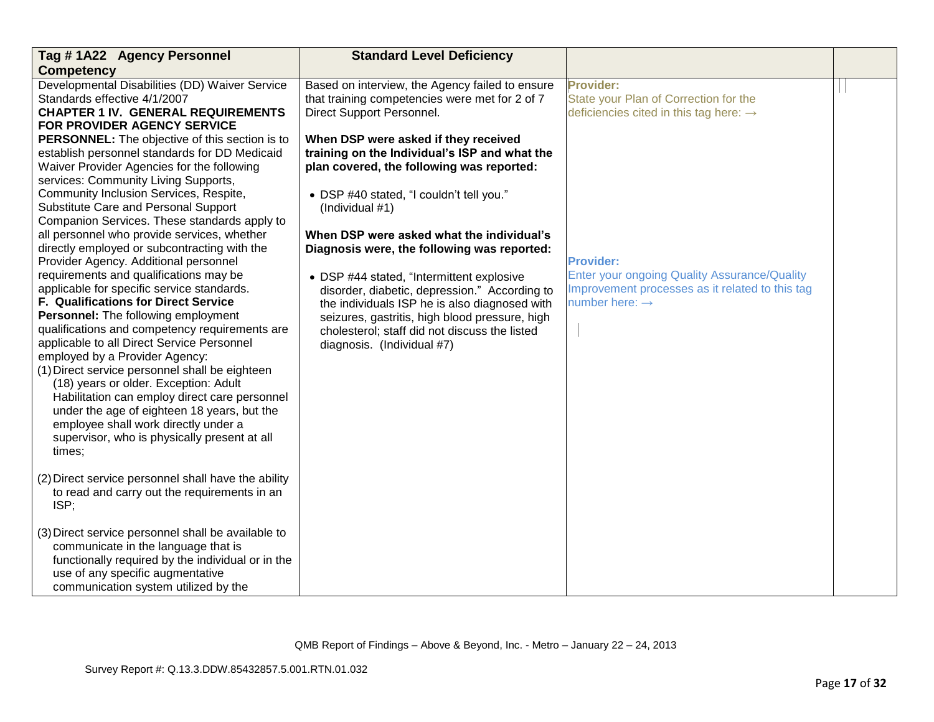| Tag #1A22 Agency Personnel                                                                                                                                                                                                                                                                                                                                                                                                                                                                                                                                                                                                                                                                                                                                                                                                                                                                                                                                                                                                                                            | <b>Standard Level Deficiency</b>                                                                                                                                                                                                                                                                                                                                                                                                                                                                                                                                              |                                                                                                                                                          |  |
|-----------------------------------------------------------------------------------------------------------------------------------------------------------------------------------------------------------------------------------------------------------------------------------------------------------------------------------------------------------------------------------------------------------------------------------------------------------------------------------------------------------------------------------------------------------------------------------------------------------------------------------------------------------------------------------------------------------------------------------------------------------------------------------------------------------------------------------------------------------------------------------------------------------------------------------------------------------------------------------------------------------------------------------------------------------------------|-------------------------------------------------------------------------------------------------------------------------------------------------------------------------------------------------------------------------------------------------------------------------------------------------------------------------------------------------------------------------------------------------------------------------------------------------------------------------------------------------------------------------------------------------------------------------------|----------------------------------------------------------------------------------------------------------------------------------------------------------|--|
| <b>Competency</b>                                                                                                                                                                                                                                                                                                                                                                                                                                                                                                                                                                                                                                                                                                                                                                                                                                                                                                                                                                                                                                                     |                                                                                                                                                                                                                                                                                                                                                                                                                                                                                                                                                                               |                                                                                                                                                          |  |
| Developmental Disabilities (DD) Waiver Service<br>Standards effective 4/1/2007<br><b>CHAPTER 1 IV. GENERAL REQUIREMENTS</b><br>FOR PROVIDER AGENCY SERVICE                                                                                                                                                                                                                                                                                                                                                                                                                                                                                                                                                                                                                                                                                                                                                                                                                                                                                                            | Based on interview, the Agency failed to ensure<br>that training competencies were met for 2 of 7<br>Direct Support Personnel.                                                                                                                                                                                                                                                                                                                                                                                                                                                | <b>Provider:</b><br>State your Plan of Correction for the<br>deficiencies cited in this tag here: $\rightarrow$                                          |  |
| PERSONNEL: The objective of this section is to<br>establish personnel standards for DD Medicaid<br>Waiver Provider Agencies for the following<br>services: Community Living Supports,<br>Community Inclusion Services, Respite,<br>Substitute Care and Personal Support<br>Companion Services. These standards apply to<br>all personnel who provide services, whether<br>directly employed or subcontracting with the<br>Provider Agency. Additional personnel<br>requirements and qualifications may be<br>applicable for specific service standards.<br>F. Qualifications for Direct Service<br>Personnel: The following employment<br>qualifications and competency requirements are<br>applicable to all Direct Service Personnel<br>employed by a Provider Agency:<br>(1) Direct service personnel shall be eighteen<br>(18) years or older. Exception: Adult<br>Habilitation can employ direct care personnel<br>under the age of eighteen 18 years, but the<br>employee shall work directly under a<br>supervisor, who is physically present at all<br>times; | When DSP were asked if they received<br>training on the Individual's ISP and what the<br>plan covered, the following was reported:<br>• DSP #40 stated, "I couldn't tell you."<br>(Individual #1)<br>When DSP were asked what the individual's<br>Diagnosis were, the following was reported:<br>• DSP #44 stated, "Intermittent explosive<br>disorder, diabetic, depression." According to<br>the individuals ISP he is also diagnosed with<br>seizures, gastritis, high blood pressure, high<br>cholesterol; staff did not discuss the listed<br>diagnosis. (Individual #7) | <b>Provider:</b><br><b>Enter your ongoing Quality Assurance/Quality</b><br>Improvement processes as it related to this tag<br>number here: $\rightarrow$ |  |
| (2) Direct service personnel shall have the ability<br>to read and carry out the requirements in an<br>ISP;                                                                                                                                                                                                                                                                                                                                                                                                                                                                                                                                                                                                                                                                                                                                                                                                                                                                                                                                                           |                                                                                                                                                                                                                                                                                                                                                                                                                                                                                                                                                                               |                                                                                                                                                          |  |
| (3) Direct service personnel shall be available to<br>communicate in the language that is<br>functionally required by the individual or in the<br>use of any specific augmentative<br>communication system utilized by the                                                                                                                                                                                                                                                                                                                                                                                                                                                                                                                                                                                                                                                                                                                                                                                                                                            |                                                                                                                                                                                                                                                                                                                                                                                                                                                                                                                                                                               |                                                                                                                                                          |  |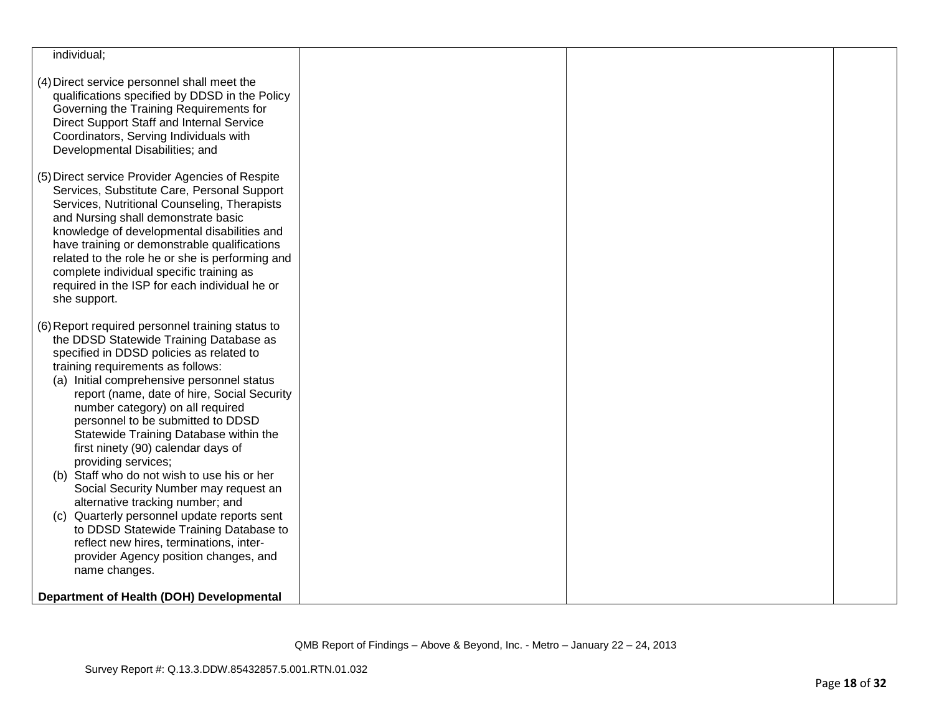| individual;                                                                                                                                                                                                                                                                                                                                                                                                                                                                                                                                                                                                                                                                                                                  |  |  |
|------------------------------------------------------------------------------------------------------------------------------------------------------------------------------------------------------------------------------------------------------------------------------------------------------------------------------------------------------------------------------------------------------------------------------------------------------------------------------------------------------------------------------------------------------------------------------------------------------------------------------------------------------------------------------------------------------------------------------|--|--|
| (4) Direct service personnel shall meet the<br>qualifications specified by DDSD in the Policy<br>Governing the Training Requirements for<br>Direct Support Staff and Internal Service<br>Coordinators, Serving Individuals with<br>Developmental Disabilities; and                                                                                                                                                                                                                                                                                                                                                                                                                                                           |  |  |
| (5) Direct service Provider Agencies of Respite<br>Services, Substitute Care, Personal Support<br>Services, Nutritional Counseling, Therapists<br>and Nursing shall demonstrate basic<br>knowledge of developmental disabilities and<br>have training or demonstrable qualifications<br>related to the role he or she is performing and<br>complete individual specific training as<br>required in the ISP for each individual he or<br>she support.                                                                                                                                                                                                                                                                         |  |  |
| (6) Report required personnel training status to<br>the DDSD Statewide Training Database as<br>specified in DDSD policies as related to<br>training requirements as follows:<br>(a) Initial comprehensive personnel status<br>report (name, date of hire, Social Security<br>number category) on all required<br>personnel to be submitted to DDSD<br>Statewide Training Database within the<br>first ninety (90) calendar days of<br>providing services;<br>(b) Staff who do not wish to use his or her<br>Social Security Number may request an<br>alternative tracking number; and<br>Quarterly personnel update reports sent<br>(c)<br>to DDSD Statewide Training Database to<br>reflect new hires, terminations, inter- |  |  |
| provider Agency position changes, and<br>name changes.<br>Department of Health (DOH) Developmental                                                                                                                                                                                                                                                                                                                                                                                                                                                                                                                                                                                                                           |  |  |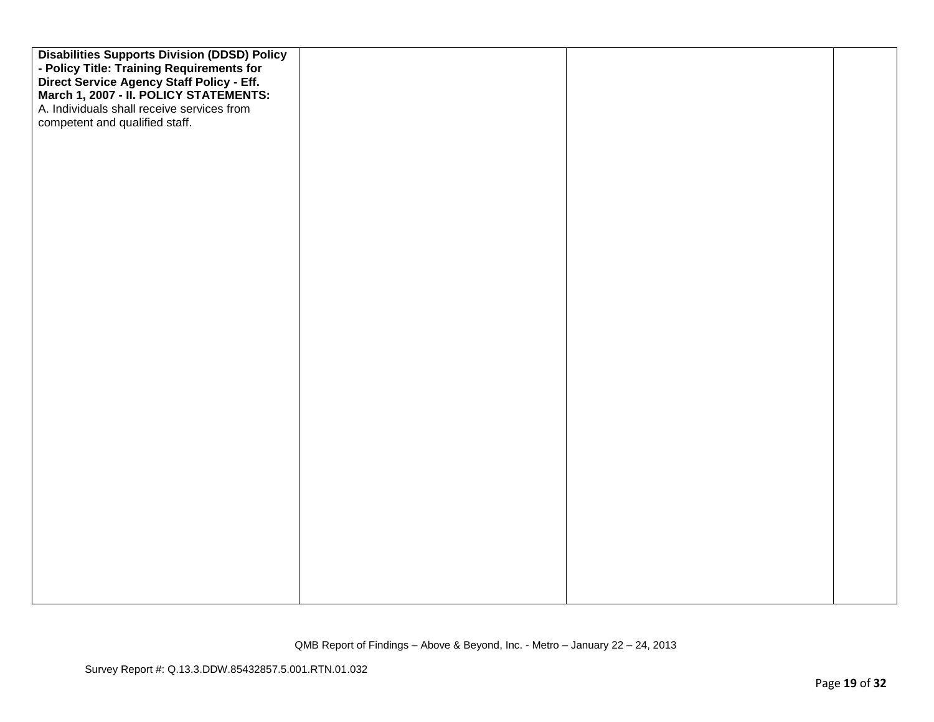| <b>Disabilities Supports Division (DDSD) Policy</b><br>- Policy Title: Training Requirements for<br>Direct Service Agency Staff Policy - Eff.<br>March 1, 2007 - II. POLICY STATEMENTS:<br>A. Individuals shall receive services from<br>competent and qualified staff. |  |  |
|-------------------------------------------------------------------------------------------------------------------------------------------------------------------------------------------------------------------------------------------------------------------------|--|--|
|                                                                                                                                                                                                                                                                         |  |  |
|                                                                                                                                                                                                                                                                         |  |  |
|                                                                                                                                                                                                                                                                         |  |  |
|                                                                                                                                                                                                                                                                         |  |  |
|                                                                                                                                                                                                                                                                         |  |  |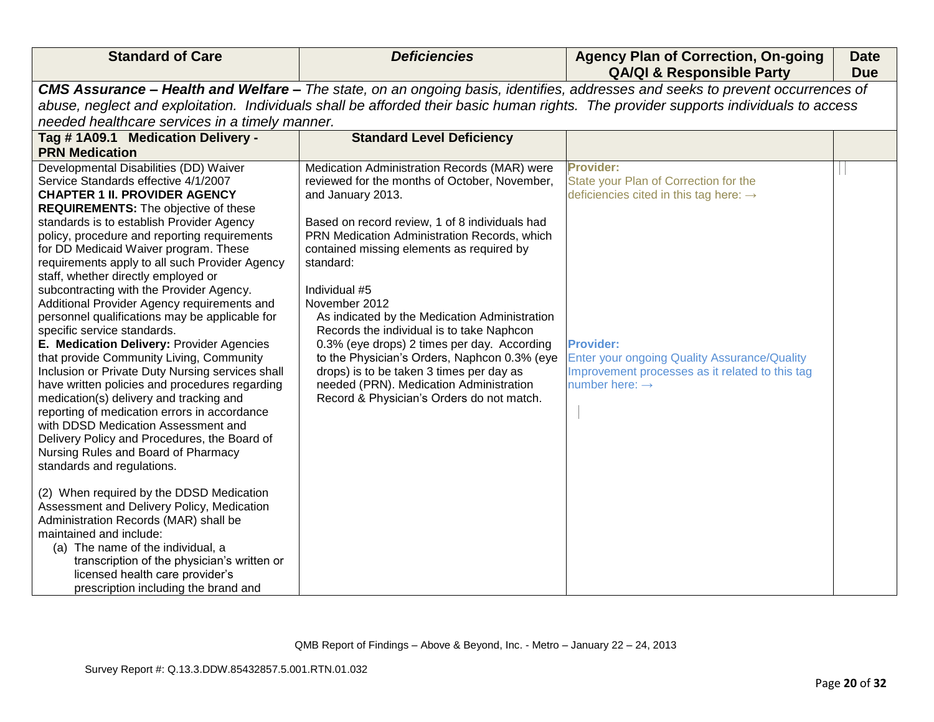| <b>Standard of Care</b>                                                                                                                                                                                                                                                                                                                                                                                                                                                                                                                                                                                                                                                                                                                                                                                                    | <b>Deficiencies</b>                                                                                                                                                                                                                                                                                                                                                                                                                                                                                                                                                                                                                               | <b>Agency Plan of Correction, On-going</b><br><b>QA/QI &amp; Responsible Party</b>                                                                                                                                                                                          | <b>Date</b><br><b>Due</b> |
|----------------------------------------------------------------------------------------------------------------------------------------------------------------------------------------------------------------------------------------------------------------------------------------------------------------------------------------------------------------------------------------------------------------------------------------------------------------------------------------------------------------------------------------------------------------------------------------------------------------------------------------------------------------------------------------------------------------------------------------------------------------------------------------------------------------------------|---------------------------------------------------------------------------------------------------------------------------------------------------------------------------------------------------------------------------------------------------------------------------------------------------------------------------------------------------------------------------------------------------------------------------------------------------------------------------------------------------------------------------------------------------------------------------------------------------------------------------------------------------|-----------------------------------------------------------------------------------------------------------------------------------------------------------------------------------------------------------------------------------------------------------------------------|---------------------------|
|                                                                                                                                                                                                                                                                                                                                                                                                                                                                                                                                                                                                                                                                                                                                                                                                                            |                                                                                                                                                                                                                                                                                                                                                                                                                                                                                                                                                                                                                                                   | CMS Assurance - Health and Welfare - The state, on an ongoing basis, identifies, addresses and seeks to prevent occurrences of                                                                                                                                              |                           |
|                                                                                                                                                                                                                                                                                                                                                                                                                                                                                                                                                                                                                                                                                                                                                                                                                            |                                                                                                                                                                                                                                                                                                                                                                                                                                                                                                                                                                                                                                                   |                                                                                                                                                                                                                                                                             |                           |
|                                                                                                                                                                                                                                                                                                                                                                                                                                                                                                                                                                                                                                                                                                                                                                                                                            |                                                                                                                                                                                                                                                                                                                                                                                                                                                                                                                                                                                                                                                   | abuse, neglect and exploitation. Individuals shall be afforded their basic human rights. The provider supports individuals to access                                                                                                                                        |                           |
| needed healthcare services in a timely manner.                                                                                                                                                                                                                                                                                                                                                                                                                                                                                                                                                                                                                                                                                                                                                                             |                                                                                                                                                                                                                                                                                                                                                                                                                                                                                                                                                                                                                                                   |                                                                                                                                                                                                                                                                             |                           |
| Tag #1A09.1 Medication Delivery -                                                                                                                                                                                                                                                                                                                                                                                                                                                                                                                                                                                                                                                                                                                                                                                          | <b>Standard Level Deficiency</b>                                                                                                                                                                                                                                                                                                                                                                                                                                                                                                                                                                                                                  |                                                                                                                                                                                                                                                                             |                           |
| <b>PRN Medication</b>                                                                                                                                                                                                                                                                                                                                                                                                                                                                                                                                                                                                                                                                                                                                                                                                      |                                                                                                                                                                                                                                                                                                                                                                                                                                                                                                                                                                                                                                                   |                                                                                                                                                                                                                                                                             |                           |
| Developmental Disabilities (DD) Waiver<br>Service Standards effective 4/1/2007<br><b>CHAPTER 1 II. PROVIDER AGENCY</b><br><b>REQUIREMENTS:</b> The objective of these<br>standards is to establish Provider Agency<br>policy, procedure and reporting requirements<br>for DD Medicaid Waiver program. These<br>requirements apply to all such Provider Agency<br>staff, whether directly employed or<br>subcontracting with the Provider Agency.<br>Additional Provider Agency requirements and<br>personnel qualifications may be applicable for<br>specific service standards.<br>E. Medication Delivery: Provider Agencies<br>that provide Community Living, Community<br>Inclusion or Private Duty Nursing services shall<br>have written policies and procedures regarding<br>medication(s) delivery and tracking and | Medication Administration Records (MAR) were<br>reviewed for the months of October, November,<br>and January 2013.<br>Based on record review, 1 of 8 individuals had<br>PRN Medication Administration Records, which<br>contained missing elements as required by<br>standard:<br>Individual #5<br>November 2012<br>As indicated by the Medication Administration<br>Records the individual is to take Naphcon<br>0.3% (eye drops) 2 times per day. According<br>to the Physician's Orders, Naphcon 0.3% (eye<br>drops) is to be taken 3 times per day as<br>needed (PRN). Medication Administration<br>Record & Physician's Orders do not match. | <b>Provider:</b><br>State your Plan of Correction for the<br>deficiencies cited in this tag here: $\rightarrow$<br><b>Provider:</b><br><b>Enter your ongoing Quality Assurance/Quality</b><br>Improvement processes as it related to this tag<br>number here: $\rightarrow$ |                           |
| reporting of medication errors in accordance<br>with DDSD Medication Assessment and<br>Delivery Policy and Procedures, the Board of<br>Nursing Rules and Board of Pharmacy<br>standards and regulations.<br>(2) When required by the DDSD Medication<br>Assessment and Delivery Policy, Medication<br>Administration Records (MAR) shall be<br>maintained and include:<br>(a) The name of the individual, a<br>transcription of the physician's written or<br>licensed health care provider's<br>prescription including the brand and                                                                                                                                                                                                                                                                                      |                                                                                                                                                                                                                                                                                                                                                                                                                                                                                                                                                                                                                                                   |                                                                                                                                                                                                                                                                             |                           |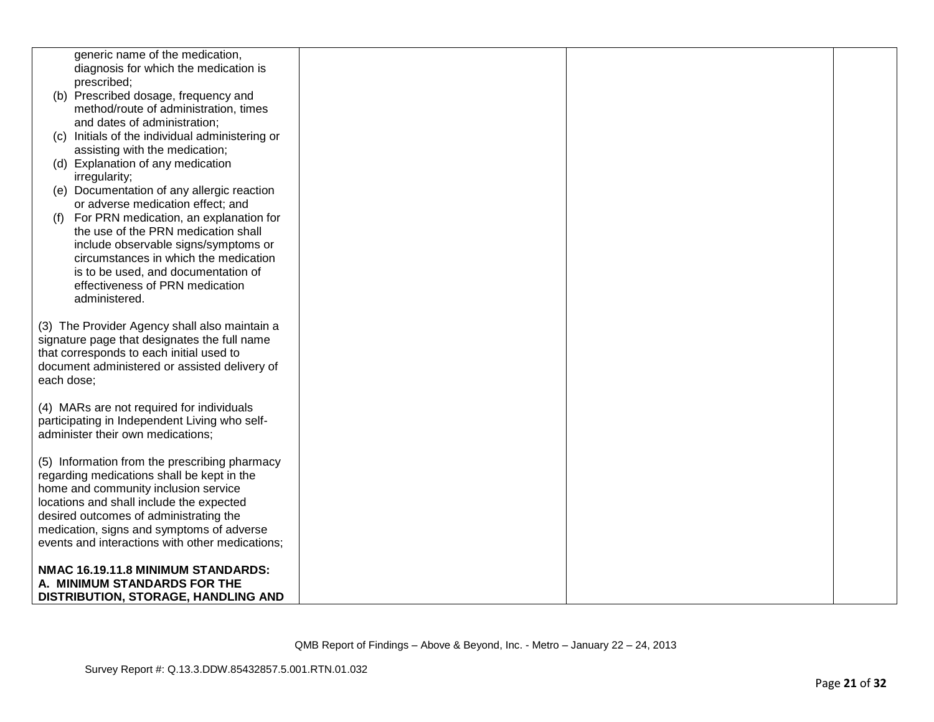|                                                                    | generic name of the medication,                                                                                                                                                            |  |  |
|--------------------------------------------------------------------|--------------------------------------------------------------------------------------------------------------------------------------------------------------------------------------------|--|--|
|                                                                    | diagnosis for which the medication is                                                                                                                                                      |  |  |
|                                                                    | prescribed;                                                                                                                                                                                |  |  |
|                                                                    | (b) Prescribed dosage, frequency and                                                                                                                                                       |  |  |
|                                                                    | method/route of administration, times                                                                                                                                                      |  |  |
|                                                                    | and dates of administration;                                                                                                                                                               |  |  |
|                                                                    | (c) Initials of the individual administering or                                                                                                                                            |  |  |
|                                                                    | assisting with the medication;                                                                                                                                                             |  |  |
|                                                                    | (d) Explanation of any medication                                                                                                                                                          |  |  |
|                                                                    | irregularity;                                                                                                                                                                              |  |  |
|                                                                    | (e) Documentation of any allergic reaction                                                                                                                                                 |  |  |
|                                                                    | or adverse medication effect; and                                                                                                                                                          |  |  |
|                                                                    | For PRN medication, an explanation for                                                                                                                                                     |  |  |
|                                                                    | the use of the PRN medication shall                                                                                                                                                        |  |  |
|                                                                    | include observable signs/symptoms or                                                                                                                                                       |  |  |
|                                                                    | circumstances in which the medication                                                                                                                                                      |  |  |
|                                                                    | is to be used, and documentation of                                                                                                                                                        |  |  |
|                                                                    | effectiveness of PRN medication                                                                                                                                                            |  |  |
|                                                                    | administered.                                                                                                                                                                              |  |  |
| each dose;                                                         | (3) The Provider Agency shall also maintain a<br>signature page that designates the full name<br>that corresponds to each initial used to<br>document administered or assisted delivery of |  |  |
|                                                                    | (4) MARs are not required for individuals                                                                                                                                                  |  |  |
|                                                                    | participating in Independent Living who self-<br>administer their own medications;                                                                                                         |  |  |
|                                                                    |                                                                                                                                                                                            |  |  |
|                                                                    | (5) Information from the prescribing pharmacy                                                                                                                                              |  |  |
|                                                                    | regarding medications shall be kept in the                                                                                                                                                 |  |  |
|                                                                    | home and community inclusion service                                                                                                                                                       |  |  |
|                                                                    | locations and shall include the expected                                                                                                                                                   |  |  |
|                                                                    | desired outcomes of administrating the                                                                                                                                                     |  |  |
|                                                                    | medication, signs and symptoms of adverse                                                                                                                                                  |  |  |
|                                                                    | events and interactions with other medications;                                                                                                                                            |  |  |
| NMAC 16.19.11.8 MINIMUM STANDARDS:<br>A. MINIMUM STANDARDS FOR THE |                                                                                                                                                                                            |  |  |
|                                                                    | DISTRIBUTION, STORAGE, HANDLING AND                                                                                                                                                        |  |  |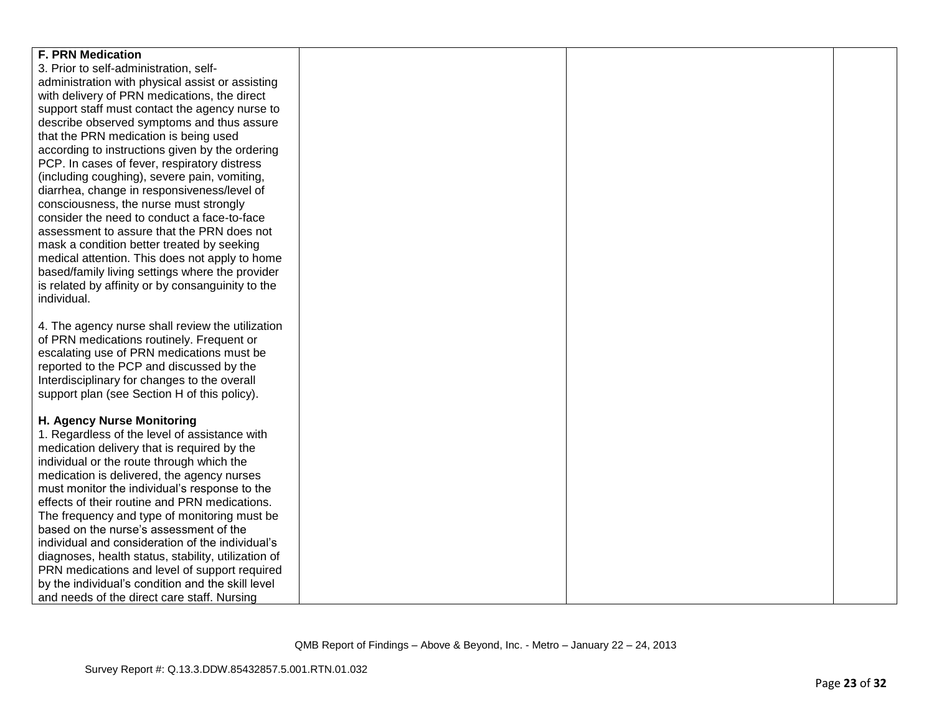| <b>F. PRN Medication</b>                            |  |  |
|-----------------------------------------------------|--|--|
| 3. Prior to self-administration, self-              |  |  |
| administration with physical assist or assisting    |  |  |
| with delivery of PRN medications, the direct        |  |  |
| support staff must contact the agency nurse to      |  |  |
| describe observed symptoms and thus assure          |  |  |
| that the PRN medication is being used               |  |  |
| according to instructions given by the ordering     |  |  |
| PCP. In cases of fever, respiratory distress        |  |  |
| (including coughing), severe pain, vomiting,        |  |  |
| diarrhea, change in responsiveness/level of         |  |  |
| consciousness, the nurse must strongly              |  |  |
| consider the need to conduct a face-to-face         |  |  |
| assessment to assure that the PRN does not          |  |  |
| mask a condition better treated by seeking          |  |  |
| medical attention. This does not apply to home      |  |  |
| based/family living settings where the provider     |  |  |
| is related by affinity or by consanguinity to the   |  |  |
| individual.                                         |  |  |
|                                                     |  |  |
| 4. The agency nurse shall review the utilization    |  |  |
| of PRN medications routinely. Frequent or           |  |  |
| escalating use of PRN medications must be           |  |  |
| reported to the PCP and discussed by the            |  |  |
| Interdisciplinary for changes to the overall        |  |  |
| support plan (see Section H of this policy).        |  |  |
|                                                     |  |  |
| H. Agency Nurse Monitoring                          |  |  |
| 1. Regardless of the level of assistance with       |  |  |
| medication delivery that is required by the         |  |  |
| individual or the route through which the           |  |  |
| medication is delivered, the agency nurses          |  |  |
| must monitor the individual's response to the       |  |  |
| effects of their routine and PRN medications.       |  |  |
| The frequency and type of monitoring must be        |  |  |
| based on the nurse's assessment of the              |  |  |
| individual and consideration of the individual's    |  |  |
| diagnoses, health status, stability, utilization of |  |  |
| PRN medications and level of support required       |  |  |
| by the individual's condition and the skill level   |  |  |
| and needs of the direct care staff. Nursing         |  |  |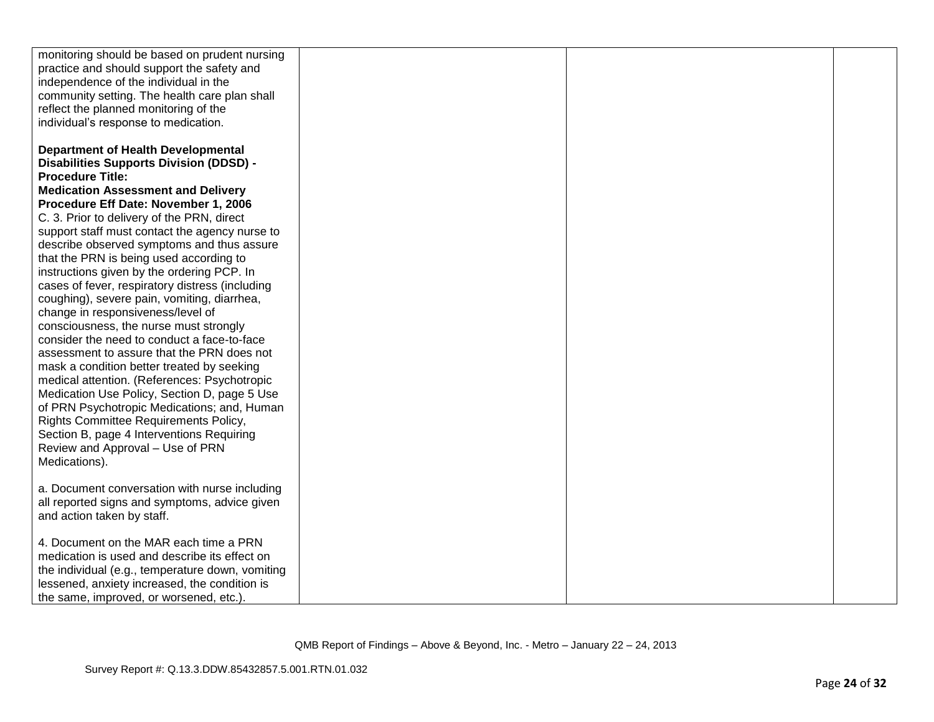| monitoring should be based on prudent nursing    |  |  |
|--------------------------------------------------|--|--|
| practice and should support the safety and       |  |  |
| independence of the individual in the            |  |  |
| community setting. The health care plan shall    |  |  |
| reflect the planned monitoring of the            |  |  |
| individual's response to medication.             |  |  |
|                                                  |  |  |
| <b>Department of Health Developmental</b>        |  |  |
| <b>Disabilities Supports Division (DDSD) -</b>   |  |  |
| <b>Procedure Title:</b>                          |  |  |
| <b>Medication Assessment and Delivery</b>        |  |  |
| Procedure Eff Date: November 1, 2006             |  |  |
| C. 3. Prior to delivery of the PRN, direct       |  |  |
| support staff must contact the agency nurse to   |  |  |
| describe observed symptoms and thus assure       |  |  |
| that the PRN is being used according to          |  |  |
| instructions given by the ordering PCP. In       |  |  |
| cases of fever, respiratory distress (including  |  |  |
| coughing), severe pain, vomiting, diarrhea,      |  |  |
| change in responsiveness/level of                |  |  |
| consciousness, the nurse must strongly           |  |  |
| consider the need to conduct a face-to-face      |  |  |
| assessment to assure that the PRN does not       |  |  |
| mask a condition better treated by seeking       |  |  |
| medical attention. (References: Psychotropic     |  |  |
| Medication Use Policy, Section D, page 5 Use     |  |  |
| of PRN Psychotropic Medications; and, Human      |  |  |
| Rights Committee Requirements Policy,            |  |  |
| Section B, page 4 Interventions Requiring        |  |  |
| Review and Approval - Use of PRN                 |  |  |
| Medications).                                    |  |  |
| a. Document conversation with nurse including    |  |  |
| all reported signs and symptoms, advice given    |  |  |
| and action taken by staff.                       |  |  |
|                                                  |  |  |
| 4. Document on the MAR each time a PRN           |  |  |
| medication is used and describe its effect on    |  |  |
| the individual (e.g., temperature down, vomiting |  |  |
| lessened, anxiety increased, the condition is    |  |  |
| the same, improved, or worsened, etc.).          |  |  |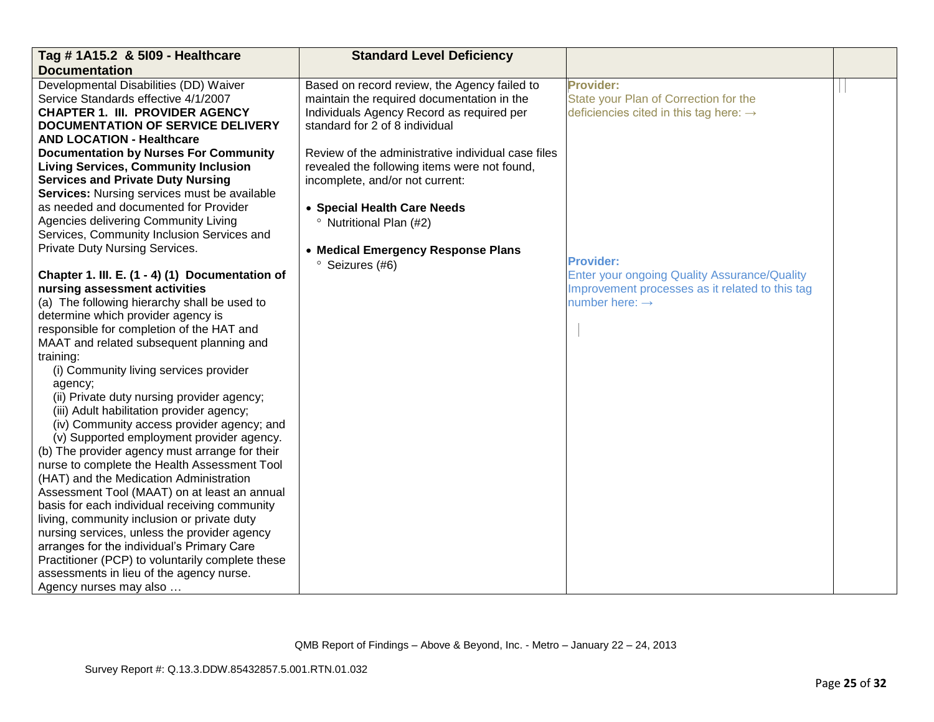| Tag # 1A15.2 & 5109 - Healthcare                 | <b>Standard Level Deficiency</b>                   |                                                     |  |
|--------------------------------------------------|----------------------------------------------------|-----------------------------------------------------|--|
| <b>Documentation</b>                             |                                                    |                                                     |  |
| Developmental Disabilities (DD) Waiver           | Based on record review, the Agency failed to       | <b>Provider:</b>                                    |  |
| Service Standards effective 4/1/2007             | maintain the required documentation in the         | State your Plan of Correction for the               |  |
| <b>CHAPTER 1. III. PROVIDER AGENCY</b>           | Individuals Agency Record as required per          | deficiencies cited in this tag here: $\rightarrow$  |  |
| <b>DOCUMENTATION OF SERVICE DELIVERY</b>         | standard for 2 of 8 individual                     |                                                     |  |
| <b>AND LOCATION - Healthcare</b>                 |                                                    |                                                     |  |
| <b>Documentation by Nurses For Community</b>     | Review of the administrative individual case files |                                                     |  |
| <b>Living Services, Community Inclusion</b>      | revealed the following items were not found,       |                                                     |  |
| <b>Services and Private Duty Nursing</b>         | incomplete, and/or not current:                    |                                                     |  |
| Services: Nursing services must be available     |                                                    |                                                     |  |
| as needed and documented for Provider            | • Special Health Care Needs                        |                                                     |  |
| Agencies delivering Community Living             | <sup>o</sup> Nutritional Plan (#2)                 |                                                     |  |
| Services, Community Inclusion Services and       |                                                    |                                                     |  |
| Private Duty Nursing Services.                   | • Medical Emergency Response Plans                 |                                                     |  |
|                                                  | <sup>o</sup> Seizures (#6)                         | <b>Provider:</b>                                    |  |
| Chapter 1. III. E. (1 - 4) (1) Documentation of  |                                                    | <b>Enter your ongoing Quality Assurance/Quality</b> |  |
| nursing assessment activities                    |                                                    | Improvement processes as it related to this tag     |  |
| (a) The following hierarchy shall be used to     |                                                    | number here: $\rightarrow$                          |  |
| determine which provider agency is               |                                                    |                                                     |  |
| responsible for completion of the HAT and        |                                                    |                                                     |  |
| MAAT and related subsequent planning and         |                                                    |                                                     |  |
| training:                                        |                                                    |                                                     |  |
| (i) Community living services provider           |                                                    |                                                     |  |
| agency;                                          |                                                    |                                                     |  |
| (ii) Private duty nursing provider agency;       |                                                    |                                                     |  |
| (iii) Adult habilitation provider agency;        |                                                    |                                                     |  |
| (iv) Community access provider agency; and       |                                                    |                                                     |  |
| (v) Supported employment provider agency.        |                                                    |                                                     |  |
| (b) The provider agency must arrange for their   |                                                    |                                                     |  |
| nurse to complete the Health Assessment Tool     |                                                    |                                                     |  |
| (HAT) and the Medication Administration          |                                                    |                                                     |  |
| Assessment Tool (MAAT) on at least an annual     |                                                    |                                                     |  |
| basis for each individual receiving community    |                                                    |                                                     |  |
| living, community inclusion or private duty      |                                                    |                                                     |  |
| nursing services, unless the provider agency     |                                                    |                                                     |  |
| arranges for the individual's Primary Care       |                                                    |                                                     |  |
| Practitioner (PCP) to voluntarily complete these |                                                    |                                                     |  |
| assessments in lieu of the agency nurse.         |                                                    |                                                     |  |
| Agency nurses may also                           |                                                    |                                                     |  |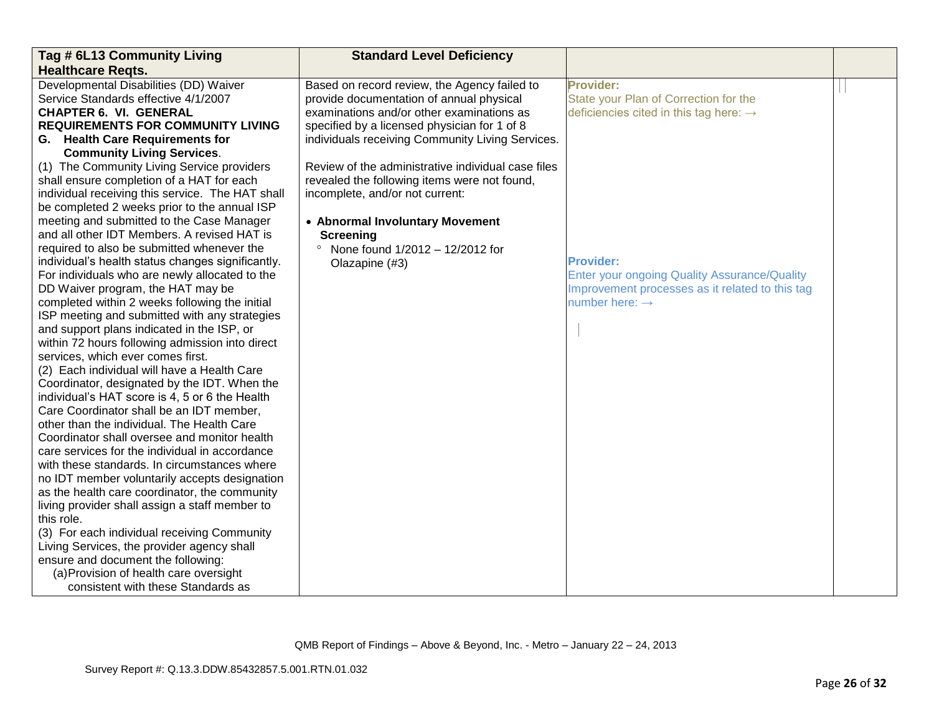| Tag # 6L13 Community Living                                                                | <b>Standard Level Deficiency</b>                   |                                                     |  |
|--------------------------------------------------------------------------------------------|----------------------------------------------------|-----------------------------------------------------|--|
| <b>Healthcare Regts.</b>                                                                   |                                                    |                                                     |  |
| Developmental Disabilities (DD) Waiver                                                     | Based on record review, the Agency failed to       | Provider:                                           |  |
| Service Standards effective 4/1/2007                                                       | provide documentation of annual physical           | State your Plan of Correction for the               |  |
| <b>CHAPTER 6. VI. GENERAL</b>                                                              | examinations and/or other examinations as          | deficiencies cited in this tag here: $\rightarrow$  |  |
| <b>REQUIREMENTS FOR COMMUNITY LIVING</b>                                                   | specified by a licensed physician for 1 of 8       |                                                     |  |
| G. Health Care Requirements for                                                            | individuals receiving Community Living Services.   |                                                     |  |
| <b>Community Living Services.</b>                                                          |                                                    |                                                     |  |
| (1) The Community Living Service providers                                                 | Review of the administrative individual case files |                                                     |  |
| shall ensure completion of a HAT for each                                                  | revealed the following items were not found,       |                                                     |  |
| individual receiving this service. The HAT shall                                           | incomplete, and/or not current:                    |                                                     |  |
| be completed 2 weeks prior to the annual ISP                                               |                                                    |                                                     |  |
| meeting and submitted to the Case Manager                                                  | • Abnormal Involuntary Movement                    |                                                     |  |
| and all other IDT Members. A revised HAT is                                                | <b>Screening</b>                                   |                                                     |  |
| required to also be submitted whenever the                                                 | $\circ$<br>None found 1/2012 - 12/2012 for         |                                                     |  |
| individual's health status changes significantly.                                          | Olazapine (#3)                                     | <b>Provider:</b>                                    |  |
| For individuals who are newly allocated to the                                             |                                                    | <b>Enter your ongoing Quality Assurance/Quality</b> |  |
| DD Waiver program, the HAT may be                                                          |                                                    | Improvement processes as it related to this tag     |  |
| completed within 2 weeks following the initial                                             |                                                    | number here: $\rightarrow$                          |  |
| ISP meeting and submitted with any strategies                                              |                                                    |                                                     |  |
| and support plans indicated in the ISP, or                                                 |                                                    |                                                     |  |
| within 72 hours following admission into direct                                            |                                                    |                                                     |  |
| services, which ever comes first.                                                          |                                                    |                                                     |  |
| (2) Each individual will have a Health Care                                                |                                                    |                                                     |  |
| Coordinator, designated by the IDT. When the                                               |                                                    |                                                     |  |
| individual's HAT score is 4, 5 or 6 the Health<br>Care Coordinator shall be an IDT member, |                                                    |                                                     |  |
| other than the individual. The Health Care                                                 |                                                    |                                                     |  |
| Coordinator shall oversee and monitor health                                               |                                                    |                                                     |  |
| care services for the individual in accordance                                             |                                                    |                                                     |  |
| with these standards. In circumstances where                                               |                                                    |                                                     |  |
| no IDT member voluntarily accepts designation                                              |                                                    |                                                     |  |
| as the health care coordinator, the community                                              |                                                    |                                                     |  |
| living provider shall assign a staff member to                                             |                                                    |                                                     |  |
| this role.                                                                                 |                                                    |                                                     |  |
| (3) For each individual receiving Community                                                |                                                    |                                                     |  |
| Living Services, the provider agency shall                                                 |                                                    |                                                     |  |
| ensure and document the following:                                                         |                                                    |                                                     |  |
| (a) Provision of health care oversight                                                     |                                                    |                                                     |  |
| consistent with these Standards as                                                         |                                                    |                                                     |  |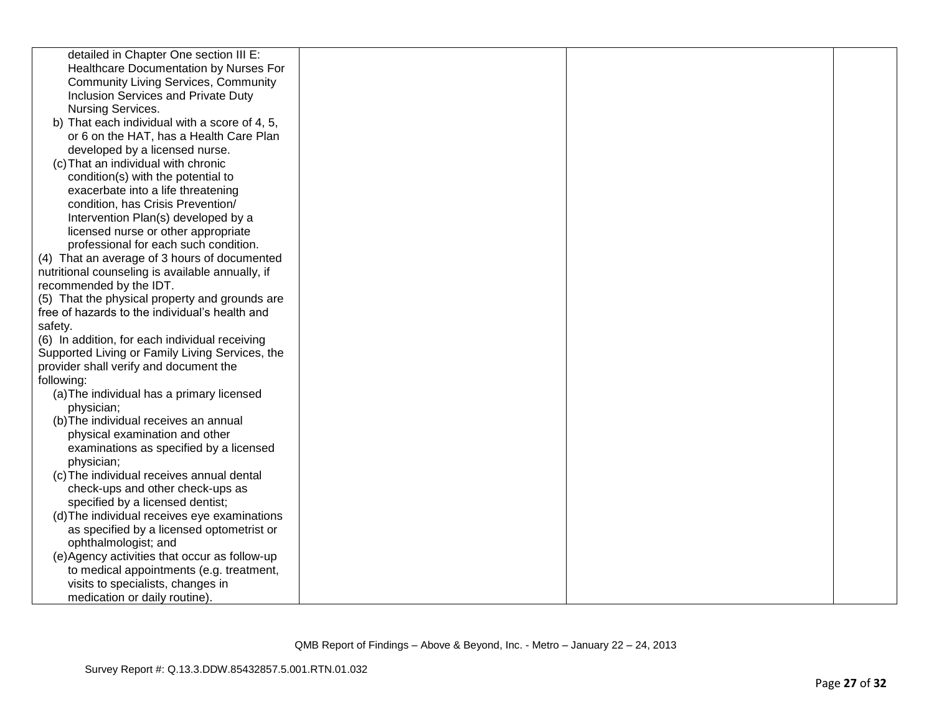| detailed in Chapter One section III E:           |  |  |
|--------------------------------------------------|--|--|
| Healthcare Documentation by Nurses For           |  |  |
| <b>Community Living Services, Community</b>      |  |  |
| Inclusion Services and Private Duty              |  |  |
| Nursing Services.                                |  |  |
| b) That each individual with a score of 4, 5,    |  |  |
| or 6 on the HAT, has a Health Care Plan          |  |  |
| developed by a licensed nurse.                   |  |  |
| (c) That an individual with chronic              |  |  |
| condition(s) with the potential to               |  |  |
| exacerbate into a life threatening               |  |  |
| condition, has Crisis Prevention/                |  |  |
| Intervention Plan(s) developed by a              |  |  |
| licensed nurse or other appropriate              |  |  |
| professional for each such condition.            |  |  |
| (4) That an average of 3 hours of documented     |  |  |
| nutritional counseling is available annually, if |  |  |
| recommended by the IDT.                          |  |  |
| (5) That the physical property and grounds are   |  |  |
| free of hazards to the individual's health and   |  |  |
| safety.                                          |  |  |
| (6) In addition, for each individual receiving   |  |  |
| Supported Living or Family Living Services, the  |  |  |
| provider shall verify and document the           |  |  |
| following:                                       |  |  |
| (a) The individual has a primary licensed        |  |  |
| physician;                                       |  |  |
| (b) The individual receives an annual            |  |  |
| physical examination and other                   |  |  |
| examinations as specified by a licensed          |  |  |
| physician;                                       |  |  |
| (c) The individual receives annual dental        |  |  |
| check-ups and other check-ups as                 |  |  |
| specified by a licensed dentist;                 |  |  |
| (d) The individual receives eye examinations     |  |  |
| as specified by a licensed optometrist or        |  |  |
| ophthalmologist; and                             |  |  |
| (e) Agency activities that occur as follow-up    |  |  |
| to medical appointments (e.g. treatment,         |  |  |
| visits to specialists, changes in                |  |  |
| medication or daily routine).                    |  |  |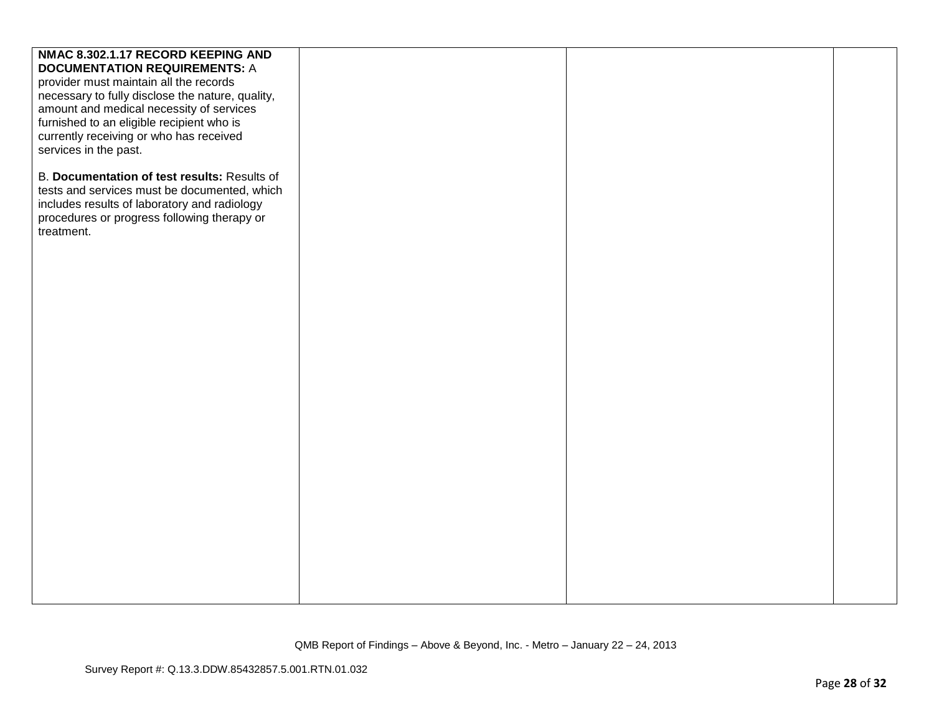| NMAC 8.302.1.17 RECORD KEEPING AND               |  |  |
|--------------------------------------------------|--|--|
| <b>DOCUMENTATION REQUIREMENTS: A</b>             |  |  |
| provider must maintain all the records           |  |  |
| necessary to fully disclose the nature, quality, |  |  |
| amount and medical necessity of services         |  |  |
| furnished to an eligible recipient who is        |  |  |
| currently receiving or who has received          |  |  |
| services in the past.                            |  |  |
|                                                  |  |  |
| B. Documentation of test results: Results of     |  |  |
| tests and services must be documented, which     |  |  |
|                                                  |  |  |
| includes results of laboratory and radiology     |  |  |
| procedures or progress following therapy or      |  |  |
| treatment.                                       |  |  |
|                                                  |  |  |
|                                                  |  |  |
|                                                  |  |  |
|                                                  |  |  |
|                                                  |  |  |
|                                                  |  |  |
|                                                  |  |  |
|                                                  |  |  |
|                                                  |  |  |
|                                                  |  |  |
|                                                  |  |  |
|                                                  |  |  |
|                                                  |  |  |
|                                                  |  |  |
|                                                  |  |  |
|                                                  |  |  |
|                                                  |  |  |
|                                                  |  |  |
|                                                  |  |  |
|                                                  |  |  |
|                                                  |  |  |
|                                                  |  |  |
|                                                  |  |  |
|                                                  |  |  |
|                                                  |  |  |
|                                                  |  |  |
|                                                  |  |  |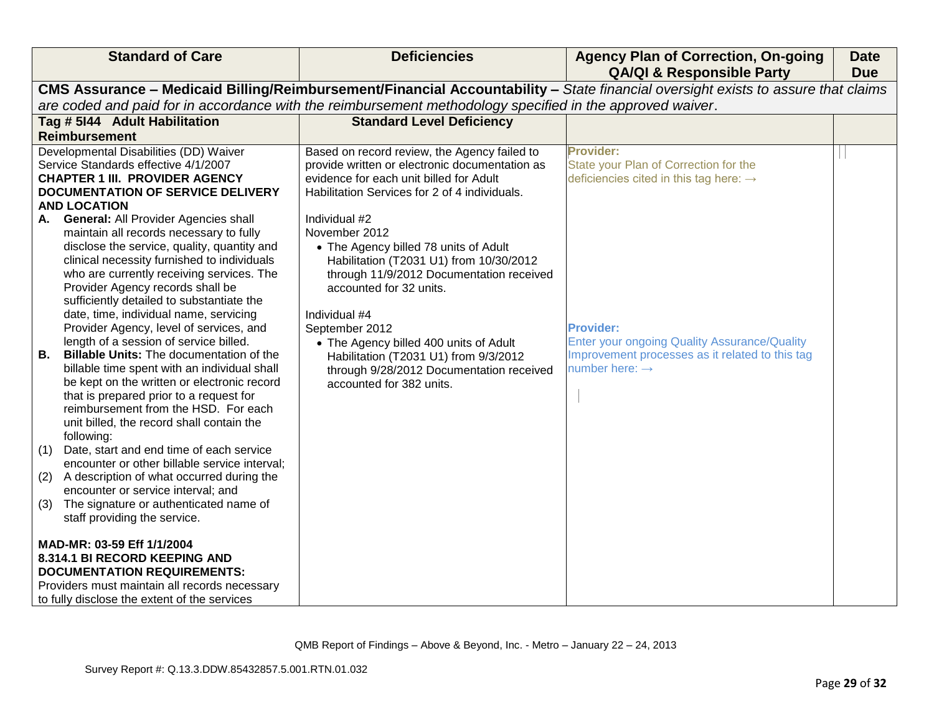| <b>Standard of Care</b>                                                                                                                                                                                                                                                                                                                                                                                                                                                                                                                                                                                                                                              | <b>Deficiencies</b>                                                                                                                                                                                                                                                                                                                                   | <b>Agency Plan of Correction, On-going</b><br><b>QA/QI &amp; Responsible Party</b>                                                                       | <b>Date</b><br><b>Due</b> |
|----------------------------------------------------------------------------------------------------------------------------------------------------------------------------------------------------------------------------------------------------------------------------------------------------------------------------------------------------------------------------------------------------------------------------------------------------------------------------------------------------------------------------------------------------------------------------------------------------------------------------------------------------------------------|-------------------------------------------------------------------------------------------------------------------------------------------------------------------------------------------------------------------------------------------------------------------------------------------------------------------------------------------------------|----------------------------------------------------------------------------------------------------------------------------------------------------------|---------------------------|
|                                                                                                                                                                                                                                                                                                                                                                                                                                                                                                                                                                                                                                                                      |                                                                                                                                                                                                                                                                                                                                                       | CMS Assurance - Medicaid Billing/Reimbursement/Financial Accountability - State financial oversight exists to assure that claims                         |                           |
|                                                                                                                                                                                                                                                                                                                                                                                                                                                                                                                                                                                                                                                                      | are coded and paid for in accordance with the reimbursement methodology specified in the approved waiver.                                                                                                                                                                                                                                             |                                                                                                                                                          |                           |
| Tag # 5144 Adult Habilitation                                                                                                                                                                                                                                                                                                                                                                                                                                                                                                                                                                                                                                        | <b>Standard Level Deficiency</b>                                                                                                                                                                                                                                                                                                                      |                                                                                                                                                          |                           |
| <b>Reimbursement</b>                                                                                                                                                                                                                                                                                                                                                                                                                                                                                                                                                                                                                                                 |                                                                                                                                                                                                                                                                                                                                                       |                                                                                                                                                          |                           |
| Developmental Disabilities (DD) Waiver<br>Service Standards effective 4/1/2007<br><b>CHAPTER 1 III. PROVIDER AGENCY</b><br><b>DOCUMENTATION OF SERVICE DELIVERY</b><br><b>AND LOCATION</b><br><b>General: All Provider Agencies shall</b><br>А.<br>maintain all records necessary to fully                                                                                                                                                                                                                                                                                                                                                                           | Based on record review, the Agency failed to<br>provide written or electronic documentation as<br>evidence for each unit billed for Adult<br>Habilitation Services for 2 of 4 individuals.<br>Individual #2<br>November 2012                                                                                                                          | Provider:<br>State your Plan of Correction for the<br>deficiencies cited in this tag here: $\rightarrow$                                                 |                           |
| disclose the service, quality, quantity and<br>clinical necessity furnished to individuals<br>who are currently receiving services. The<br>Provider Agency records shall be<br>sufficiently detailed to substantiate the<br>date, time, individual name, servicing<br>Provider Agency, level of services, and<br>length of a session of service billed.<br><b>B.</b><br><b>Billable Units: The documentation of the</b><br>billable time spent with an individual shall<br>be kept on the written or electronic record<br>that is prepared prior to a request for<br>reimbursement from the HSD. For each<br>unit billed, the record shall contain the<br>following: | • The Agency billed 78 units of Adult<br>Habilitation (T2031 U1) from 10/30/2012<br>through 11/9/2012 Documentation received<br>accounted for 32 units.<br>Individual #4<br>September 2012<br>• The Agency billed 400 units of Adult<br>Habilitation (T2031 U1) from 9/3/2012<br>through 9/28/2012 Documentation received<br>accounted for 382 units. | <b>Provider:</b><br><b>Enter your ongoing Quality Assurance/Quality</b><br>Improvement processes as it related to this tag<br>number here: $\rightarrow$ |                           |
| Date, start and end time of each service<br>(1)<br>encounter or other billable service interval;                                                                                                                                                                                                                                                                                                                                                                                                                                                                                                                                                                     |                                                                                                                                                                                                                                                                                                                                                       |                                                                                                                                                          |                           |
| A description of what occurred during the<br>(2)<br>encounter or service interval; and                                                                                                                                                                                                                                                                                                                                                                                                                                                                                                                                                                               |                                                                                                                                                                                                                                                                                                                                                       |                                                                                                                                                          |                           |
| The signature or authenticated name of<br>(3)<br>staff providing the service.                                                                                                                                                                                                                                                                                                                                                                                                                                                                                                                                                                                        |                                                                                                                                                                                                                                                                                                                                                       |                                                                                                                                                          |                           |
| MAD-MR: 03-59 Eff 1/1/2004<br>8.314.1 BI RECORD KEEPING AND<br><b>DOCUMENTATION REQUIREMENTS:</b><br>Providers must maintain all records necessary                                                                                                                                                                                                                                                                                                                                                                                                                                                                                                                   |                                                                                                                                                                                                                                                                                                                                                       |                                                                                                                                                          |                           |
| to fully disclose the extent of the services                                                                                                                                                                                                                                                                                                                                                                                                                                                                                                                                                                                                                         |                                                                                                                                                                                                                                                                                                                                                       |                                                                                                                                                          |                           |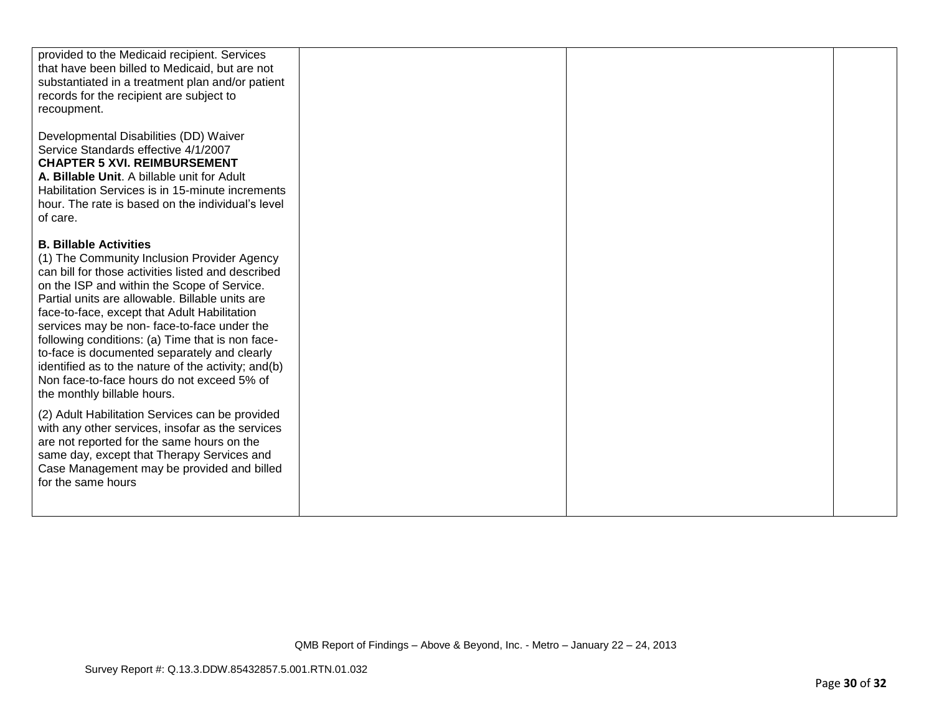| provided to the Medicaid recipient. Services<br>that have been billed to Medicaid, but are not<br>substantiated in a treatment plan and/or patient<br>records for the recipient are subject to<br>recoupment.                                                                                                                                                                                                                                                                                                                                                              |  |  |
|----------------------------------------------------------------------------------------------------------------------------------------------------------------------------------------------------------------------------------------------------------------------------------------------------------------------------------------------------------------------------------------------------------------------------------------------------------------------------------------------------------------------------------------------------------------------------|--|--|
| Developmental Disabilities (DD) Waiver<br>Service Standards effective 4/1/2007<br><b>CHAPTER 5 XVI. REIMBURSEMENT</b><br>A. Billable Unit. A billable unit for Adult<br>Habilitation Services is in 15-minute increments<br>hour. The rate is based on the individual's level<br>of care.                                                                                                                                                                                                                                                                                  |  |  |
| <b>B. Billable Activities</b><br>(1) The Community Inclusion Provider Agency<br>can bill for those activities listed and described<br>on the ISP and within the Scope of Service.<br>Partial units are allowable. Billable units are<br>face-to-face, except that Adult Habilitation<br>services may be non-face-to-face under the<br>following conditions: (a) Time that is non face-<br>to-face is documented separately and clearly<br>identified as to the nature of the activity; and(b)<br>Non face-to-face hours do not exceed 5% of<br>the monthly billable hours. |  |  |
| (2) Adult Habilitation Services can be provided<br>with any other services, insofar as the services<br>are not reported for the same hours on the<br>same day, except that Therapy Services and<br>Case Management may be provided and billed<br>for the same hours                                                                                                                                                                                                                                                                                                        |  |  |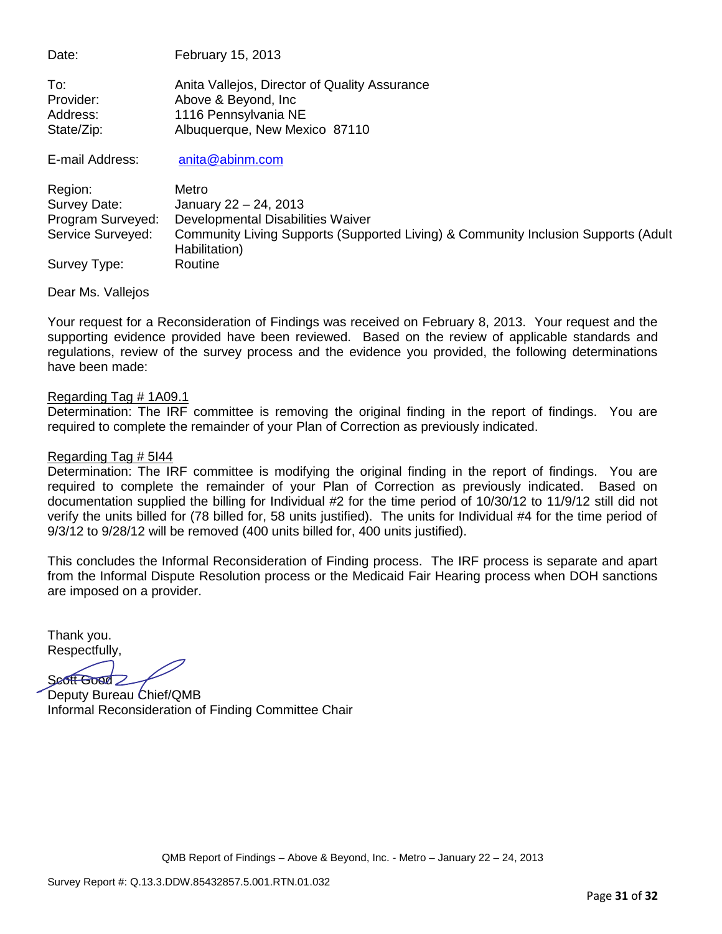| Date:           | February 15, 2013                             |
|-----------------|-----------------------------------------------|
| To:             | Anita Vallejos, Director of Quality Assurance |
| Provider:       | Above & Beyond, Inc.                          |
| Address:        | 1116 Pennsylvania NE                          |
| State/Zip:      | Albuquerque, New Mexico 87110                 |
| E-mail Address: | anita@abinm.com                               |

| Region:           | Metro                                                                                               |
|-------------------|-----------------------------------------------------------------------------------------------------|
| Survey Date:      | January 22 - 24, 2013                                                                               |
| Program Surveyed: | Developmental Disabilities Waiver                                                                   |
| Service Surveyed: | Community Living Supports (Supported Living) & Community Inclusion Supports (Adult<br>Habilitation) |
| Survey Type:      | Routine                                                                                             |

Dear Ms. Vallejos

Your request for a Reconsideration of Findings was received on February 8, 2013. Your request and the supporting evidence provided have been reviewed. Based on the review of applicable standards and regulations, review of the survey process and the evidence you provided, the following determinations have been made:

#### Regarding Tag # 1A09.1

Determination: The IRF committee is removing the original finding in the report of findings. You are required to complete the remainder of your Plan of Correction as previously indicated.

#### Regarding Tag # 5I44

Determination: The IRF committee is modifying the original finding in the report of findings. You are required to complete the remainder of your Plan of Correction as previously indicated. Based on documentation supplied the billing for Individual #2 for the time period of 10/30/12 to 11/9/12 still did not verify the units billed for (78 billed for, 58 units justified). The units for Individual #4 for the time period of 9/3/12 to 9/28/12 will be removed (400 units billed for, 400 units justified).

This concludes the Informal Reconsideration of Finding process. The IRF process is separate and apart from the Informal Dispute Resolution process or the Medicaid Fair Hearing process when DOH sanctions are imposed on a provider.

Thank you. Respectfully,

Seoff Good

Deputy Bureau Chief/QMB Informal Reconsideration of Finding Committee Chair